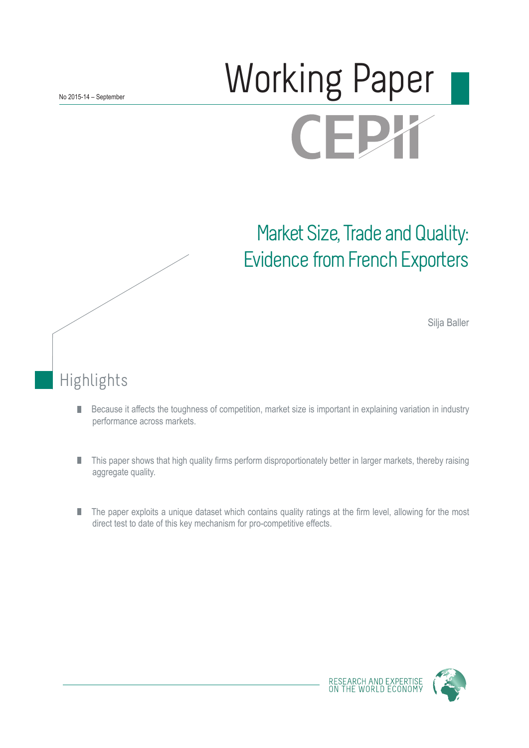# Working Paper CEJ

# Market Size, Trade and Quality: Evidence from French Exporters

Silja Baller

## Highlights

- Because it affects the toughness of competition, market size is important in explaining variation in industry П performance across markets.
- This paper shows that high quality firms perform disproportionately better in larger markets, thereby raising П aggregate quality.
- The paper exploits a unique dataset which contains quality ratings at the firm level, allowing for the most П direct test to date of this key mechanism for pro-competitive effects.

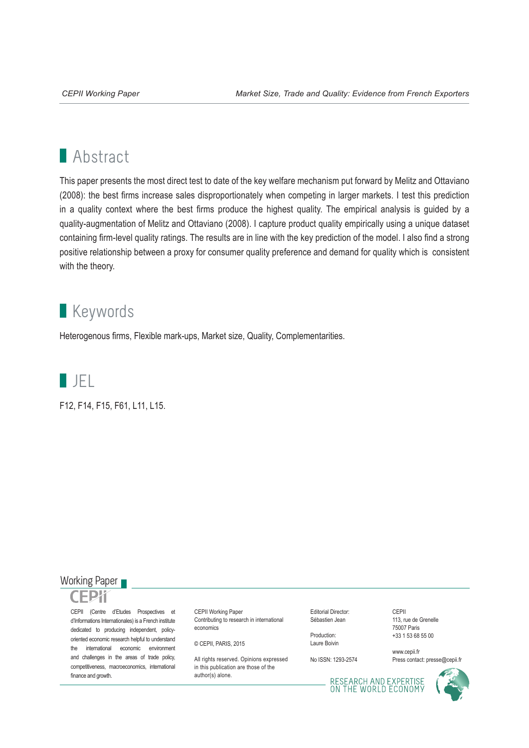## **Abstract**

This paper presents the most direct test to date of the key welfare mechanism put forward by Melitz and Ottaviano (2008): the best firms increase sales disproportionately when competing in larger markets. I test this prediction in a quality context where the best firms produce the highest quality. The empirical analysis is guided by a quality-augmentation of Melitz and Ottaviano (2008). I capture product quality empirically using a unique dataset containing firm-level quality ratings. The results are in line with the key prediction of the model. I also find a strong positive relationship between a proxy for consumer quality preference and demand for quality which is consistent with the theory.

## **Keywords**

Heterogenous firms, Flexible mark-ups, Market size, Quality, Complementarities.



F12, F14, F15, F61, L11, L15.

#### Working Paper



CEPII (Centre d'Etudes Prospectives et d'Informations Internationales) is a French institute dedicated to producing independent, policyoriented economic research helpful to understand the international economic environment and challenges in the areas of trade policy, competitiveness, macroeconomics, international finance and growth.

CEPII Working Paper Contributing to research in international economics

© CEPII, PARIS, 2015

All rights reserved. Opinions expressed. in this publication are those of the author(s) alone.

Editorial Director: Sébastien Jean

Production: Laure Boivin

No ISSN: 1293-2574

CEPII 113, rue de Grenelle 75007 Paris +33 1 53 68 55 00

www.cepii.fr Press contact: presse@cepii.fr

RESEARCH AND EXPERTISE<br>ON THE WORLD ECONOMY

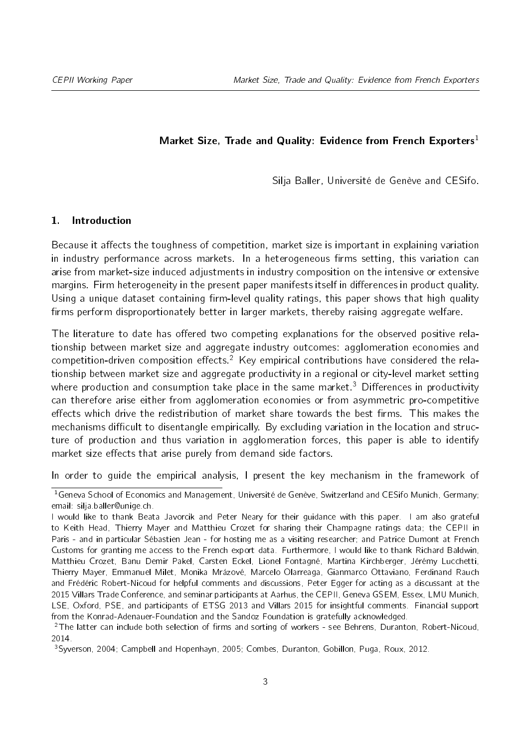#### Market Size, Trade and Quality: Evidence from French Exporters<sup>[1](#page-2-0)</sup>

Silja Baller, Université de Genève and CESifo.

#### 1. Introduction

Because it affects the toughness of competition, market size is important in explaining variation in industry performance across markets. In a heterogeneous firms setting, this variation can arise from market-size induced adjustments in industry composition on the intensive or extensive margins. Firm heterogeneity in the present paper manifests itself in differences in product quality. Using a unique dataset containing firm-level quality ratings, this paper shows that high quality firms perform disproportionately better in larger markets, thereby raising aggregate welfare.

The literature to date has offered two competing explanations for the observed positive relationship between market size and aggregate industry outcomes: agglomeration economies and competition-driven composition effects.<sup>[2](#page-2-1)</sup> Key empirical contributions have considered the relationship between market size and aggregate productivity in a regional or city-level market setting where production and consumption take place in the same market.<sup>[3](#page-2-2)</sup> Differences in productivity can therefore arise either from agglomeration economies or from asymmetric pro-competitive effects which drive the redistribution of market share towards the best firms. This makes the mechanisms difficult to disentangle empirically. By excluding variation in the location and structure of production and thus variation in agglomeration forces, this paper is able to identify market size effects that arise purely from demand side factors.

In order to guide the empirical analysis, I present the key mechanism in the framework of

<span id="page-2-0"></span><sup>&</sup>lt;sup>1</sup> Geneva School of Economics and Management, Université de Genève, Switzerland and CESifo Munich, Germany; email: silja.baller@unige.ch.

I would like to thank Beata Javorcik and Peter Neary for their guidance with this paper. I am also grateful to Keith Head, Thierry Mayer and Matthieu Crozet for sharing their Champagne ratings data; the CEPII in Paris - and in particular Sébastien Jean - for hosting me as a visiting researcher; and Patrice Dumont at French Customs for granting me access to the French export data. Furthermore, I would like to thank Richard Baldwin, Matthieu Crozet, Banu Demir Pakel, Carsten Eckel, Lionel Fontagné, Martina Kirchberger, Jérémy Lucchetti, Thierry Mayer, Emmanuel Milet, Monika Mrázové, Marcelo Olarreaga, Gianmarco Ottaviano, Ferdinand Rauch and Frédéric Robert-Nicoud for helpful comments and discussions, Peter Egger for acting as a discussant at the 2015 Villars Trade Conference, and seminar participants at Aarhus, the CEPII, Geneva GSEM, Essex, LMU Munich, LSE, Oxford, PSE, and participants of ETSG 2013 and Villars 2015 for insightful comments. Financial support from the Konrad-Adenauer-Foundation and the Sandoz Foundation is gratefully acknowledged.

<span id="page-2-1"></span> $2$ The latter can include both selection of firms and sorting of workers - see Behrens, Duranton, Robert-Nicoud, 2014.

<span id="page-2-2"></span><sup>3</sup>Syverson, 2004; Campbell and Hopenhayn, 2005; Combes, Duranton, Gobillon, Puga, Roux, 2012.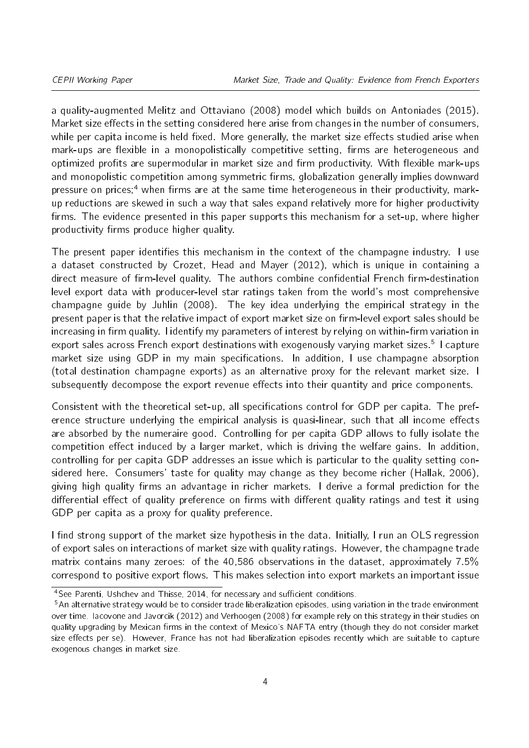a quality-augmented Melitz and Ottaviano (2008) model which builds on Antoniades (2015). Market size effects in the setting considered here arise from changes in the number of consumers, while per capita income is held fixed. More generally, the market size effects studied arise when mark-ups are flexible in a monopolistically competitive setting, firms are heterogeneous and optimized profits are supermodular in market size and firm productivity. With flexible mark-ups and monopolistic competition among symmetric firms, globalization generally implies downward pressure on prices;<sup>[4](#page-3-0)</sup> when firms are at the same time heterogeneous in their productivity, markup reductions are skewed in such a way that sales expand relatively more for higher productivity firms. The evidence presented in this paper supports this mechanism for a set-up, where higher productivity firms produce higher quality.

The present paper identifies this mechanism in the context of the champagne industry. I use a dataset constructed by Crozet, Head and Mayer (2012), which is unique in containing a direct measure of firm-level quality. The authors combine confidential French firm-destination level export data with producer-level star ratings taken from the world's most comprehensive champagne guide by Juhlin (2008). The key idea underlying the empirical strategy in the present paper is that the relative impact of export market size on firm-level export sales should be increasing in firm quality. I identify my parameters of interest by relying on within-firm variation in export sales across French export destinations with exogenously varying market sizes.<sup>[5](#page-3-1)</sup> I capture market size using GDP in my main specifications. In addition, I use champagne absorption (total destination champagne exports) as an alternative proxy for the relevant market size. I subsequently decompose the export revenue effects into their quantity and price components.

Consistent with the theoretical set-up, all specifications control for GDP per capita. The preference structure underlying the empirical analysis is quasi-linear, such that all income effects are absorbed by the numeraire good. Controlling for per capita GDP allows to fully isolate the competition effect induced by a larger market, which is driving the welfare gains. In addition, controlling for per capita GDP addresses an issue which is particular to the quality setting considered here. Consumers' taste for quality may change as they become richer (Hallak, 2006), giving high quality firms an advantage in richer markets. I derive a formal prediction for the differential effect of quality preference on firms with different quality ratings and test it using GDP per capita as a proxy for quality preference.

I find strong support of the market size hypothesis in the data. Initially, I run an OLS regression of export sales on interactions of market size with quality ratings. However, the champagne trade matrix contains many zeroes: of the 40,586 observations in the dataset, approximately 7.5% correspond to positive export flows. This makes selection into export markets an important issue

<span id="page-3-0"></span> $\frac{4}{3}$  See Parenti, Ushchev and Thisse, 2014, for necessary and sufficient conditions.

<span id="page-3-1"></span><sup>5</sup>An alternative strategy would be to consider trade liberalization episodes, using variation in the trade environment over time. Iacovone and Javorcik (2012) and Verhoogen (2008) for example rely on this strategy in their studies on quality upgrading by Mexican firms in the context of Mexico's NAFTA entry (though they do not consider market size effects per se). However, France has not had liberalization episodes recently which are suitable to capture exogenous changes in market size.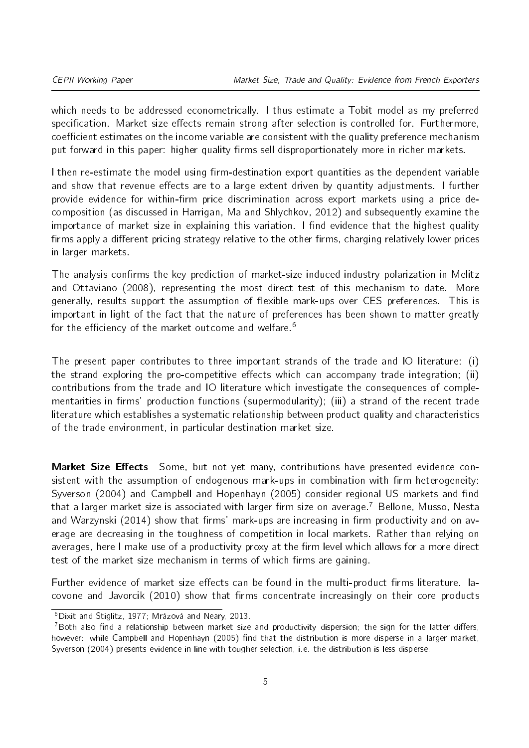which needs to be addressed econometrically. I thus estimate a Tobit model as my preferred specification. Market size effects remain strong after selection is controlled for. Furthermore, coefficient estimates on the income variable are consistent with the quality preference mechanism put forward in this paper: higher quality firms sell disproportionately more in richer markets.

I then re-estimate the model using firm-destination export quantities as the dependent variable and show that revenue effects are to a large extent driven by quantity adjustments. I further provide evidence for within-firm price discrimination across export markets using a price decomposition (as discussed in Harrigan, Ma and Shlychkov, 2012) and subsequently examine the importance of market size in explaining this variation. I find evidence that the highest quality firms apply a different pricing strategy relative to the other firms, charging relatively lower prices in larger markets.

The analysis confirms the key prediction of market-size induced industry polarization in Melitz and Ottaviano (2008), representing the most direct test of this mechanism to date. More generally, results support the assumption of flexible mark-ups over CES preferences. This is important in light of the fact that the nature of preferences has been shown to matter greatly for the efficiency of the market outcome and welfare.<sup>[6](#page-4-0)</sup>

The present paper contributes to three important strands of the trade and IO literature: (i) the strand exploring the pro-competitive effects which can accompany trade integration; (ii) contributions from the trade and IO literature which investigate the consequences of complementarities in firms' production functions (supermodularity); (iii) a strand of the recent trade literature which establishes a systematic relationship between product quality and characteristics of the trade environment, in particular destination market size.

Market Size Effects Some, but not yet many, contributions have presented evidence consistent with the assumption of endogenous mark-ups in combination with firm heterogeneity: Syverson (2004) and Campbell and Hopenhayn (2005) consider regional US markets and find that a larger market size is associated with larger firm size on average.<sup>[7](#page-4-1)</sup> Bellone, Musso, Nesta and Warzynski  $(2014)$  show that firms' mark-ups are increasing in firm productivity and on average are decreasing in the toughness of competition in local markets. Rather than relying on averages, here I make use of a productivity proxy at the firm level which allows for a more direct test of the market size mechanism in terms of which firms are gaining.

Further evidence of market size effects can be found in the multi-product firms literature. Iacovone and Javorcik  $(2010)$  show that firms concentrate increasingly on their core products

<span id="page-4-0"></span><sup>6</sup>Dixit and Stiglitz, 1977; Mrázová and Neary, 2013.

<span id="page-4-1"></span><sup>&</sup>lt;sup>7</sup>Both also find a relationship between market size and productivity dispersion; the sign for the latter differs, however: while Campbell and Hopenhayn (2005) find that the distribution is more disperse in a larger market, Syverson (2004) presents evidence in line with tougher selection, i.e. the distribution is less disperse.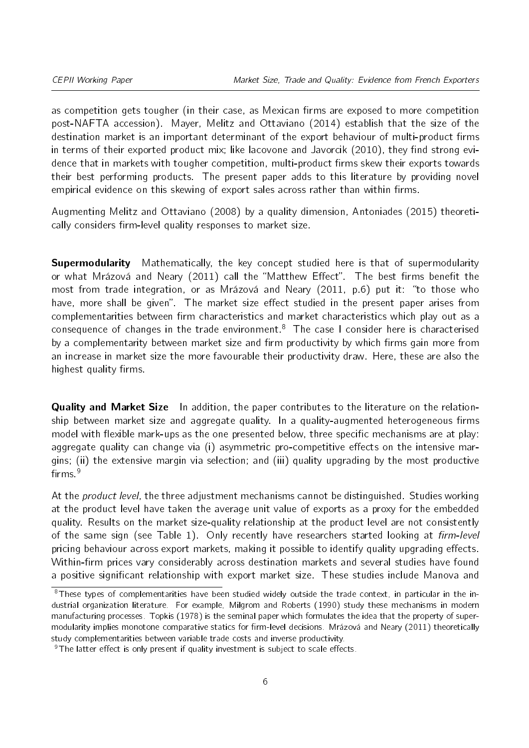as competition gets tougher (in their case, as Mexican firms are exposed to more competition post-NAFTA accession). Mayer, Melitz and Ottaviano (2014) establish that the size of the destination market is an important determinant of the export behaviour of multi-product firms in terms of their exported product mix; like lacovone and Javorcik (2010), they find strong evidence that in markets with tougher competition, multi-product firms skew their exports towards their best performing products. The present paper adds to this literature by providing novel empirical evidence on this skewing of export sales across rather than within firms.

Augmenting Melitz and Ottaviano (2008) by a quality dimension, Antoniades (2015) theoretically considers firm-level quality responses to market size.

**Supermodularity** Mathematically, the key concept studied here is that of supermodularity or what Mrázová and Neary (2011) call the "Matthew Effect". The best firms benefit the most from trade integration, or as Mrázová and Neary (2011, p.6) put it: "to those who have, more shall be given". The market size effect studied in the present paper arises from complementarities between firm characteristics and market characteristics which play out as a consequence of changes in the trade environment.<sup>[8](#page-5-0)</sup> The case I consider here is characterised by a complementarity between market size and firm productivity by which firms gain more from an increase in market size the more favourable their productivity draw. Here, these are also the highest quality firms.

**Quality and Market Size** In addition, the paper contributes to the literature on the relationship between market size and aggregate quality. In a quality-augmented heterogeneous firms model with flexible mark-ups as the one presented below, three specific mechanisms are at play: aggregate quality can change via  $(i)$  asymmetric pro-competitive effects on the intensive margins; (ii) the extensive margin via selection; and (iii) quality upgrading by the most productive firms $9$ 

At the *product level*, the three adjustment mechanisms cannot be distinguished. Studies working at the product level have taken the average unit value of exports as a proxy for the embedded quality. Results on the market size-quality relationship at the product level are not consistently of the same sign (see Table [1\)](#page-6-0). Only recently have researchers started looking at firm-level pricing behaviour across export markets, making it possible to identify quality upgrading effects. Within-firm prices vary considerably across destination markets and several studies have found a positive significant relationship with export market size. These studies include Manova and

<span id="page-5-0"></span> $8$ These types of complementarities have been studied widely outside the trade context, in particular in the industrial organization literature. For example, Milgrom and Roberts (1990) study these mechanisms in modern manufacturing processes. Topkis (1978) is the seminal paper which formulates the idea that the property of supermodularity implies monotone comparative statics for firm-level decisions. Mrázová and Neary (2011) theoretically study complementarities between variable trade costs and inverse productivity.

<span id="page-5-1"></span> $9$ The latter effect is only present if quality investment is subject to scale effects.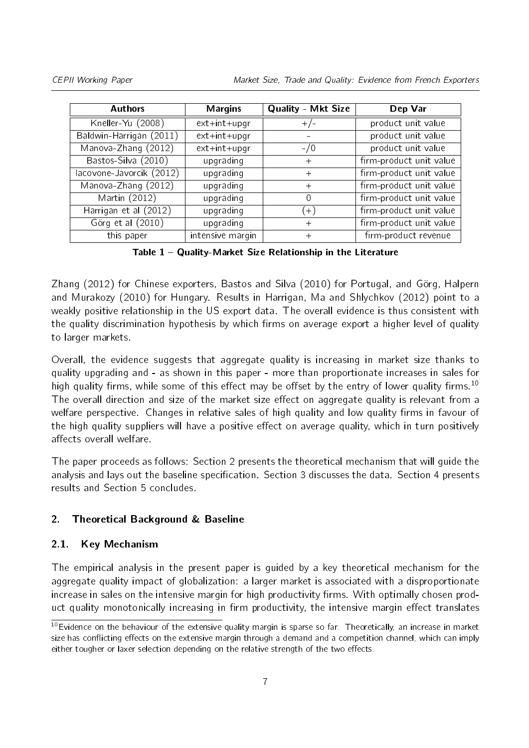<span id="page-6-0"></span>

| <b>Authors</b>           | <b>Margins</b>   | <b>Quality - Mkt Size</b> | Dep Var                 |
|--------------------------|------------------|---------------------------|-------------------------|
| Kneller-Yu (2008)        | ext+int+upgr     | $+/-$                     | product unit value      |
| Baldwin-Harrigan (2011)  | ext+int+upgr     |                           | product unit value      |
| Manova-Zhang (2012)      | ext+int+upgr     | $-1/0$                    | product unit value      |
| Bastos-Silva (2010)      | upgrading        | $^{+}$                    | firm-product unit value |
| lacovone-Javorcik (2012) | upgrading        | $^{+}$                    | firm-product unit value |
| Manova-Zhang (2012)      | upgrading        | $^{+}$                    | firm-product unit value |
| Martin (2012)            | upgrading        | $\left( \right)$          | firm-product unit value |
| Harrigan et al (2012)    | upgrading        | $+1$                      | firm-product unit value |
| Görg et al (2010)        | upgrading        | $+$                       | firm-product unit value |
| this paper               | intensive margin | $\mathrm{+}$              | firm-product revenue    |

Table 1 Quality-Market Size Relationship in the Literature

Zhang (2012) for Chinese exporters, Bastos and Silva (2010) for Portugal, and Görg, Halpern and Murakozy (2010) for Hungary. Results in Harrigan, Ma and Shlychkov (2012) point to a weakly positive relationship in the US export data. The overall evidence is thus consistent with the quality discrimination hypothesis by which firms on average export a higher level of quality to larger markets.

Overall, the evidence suggests that aggregate quality is increasing in market size thanks to quality upgrading and - as shown in this paper - more than proportionate increases in sales for high quality firms, while some of this effect may be offset by the entry of lower quality firms.<sup>[10](#page-6-1)</sup> The overall direction and size of the market size effect on aggregate quality is relevant from a welfare perspective. Changes in relative sales of high quality and low quality firms in favour of the high quality suppliers will have a positive effect on average quality, which in turn positively affects overall welfare.

The paper proceeds as follows: Section [2](#page-6-2) presents the theoretical mechanism that will guide the analysis and lays out the baseline specification. Section [3](#page-12-0) discusses the data. Section [4](#page-17-0) presents results and Section [5](#page-26-0) concludes.

#### <span id="page-6-2"></span>2. Theoretical Background & Baseline

#### 2.1. Key Mechanism

The empirical analysis in the present paper is guided by a key theoretical mechanism for the aggregate quality impact of globalization: a larger market is associated with a disproportionate increase in sales on the intensive margin for high productivity firms. With optimally chosen product quality monotonically increasing in firm productivity, the intensive margin effect translates

<span id="page-6-1"></span> $10$ Evidence on the behaviour of the extensive quality margin is sparse so far. Theoretically, an increase in market size has conflicting effects on the extensive margin through a demand and a competition channel, which can imply either tougher or laxer selection depending on the relative strength of the two effects.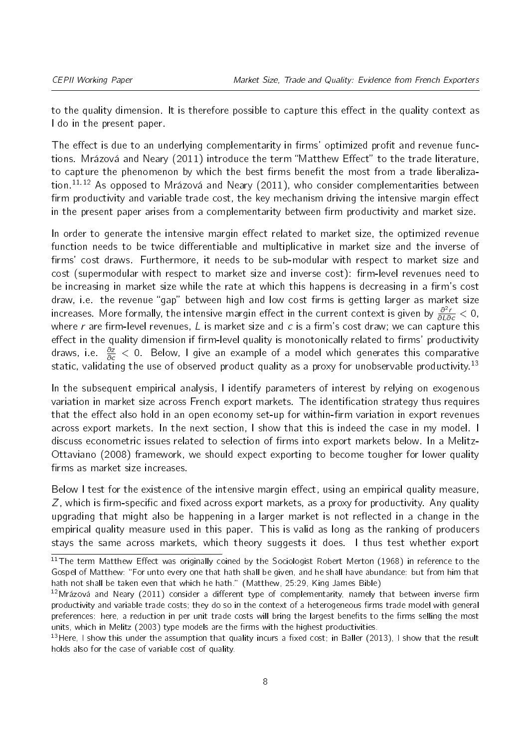to the quality dimension. It is therefore possible to capture this effect in the quality context as I do in the present paper.

The effect is due to an underlying complementarity in firms' optimized profit and revenue functions. Mrázová and Neary (2011) introduce the term "Matthew Effect" to the trade literature, to capture the phenomenon by which the best firms benefit the most from a trade liberaliza-tion.<sup>[11](#page-7-0),12</sup> As opposed to Mrázová and Neary (2011), who consider complementarities between firm productivity and variable trade cost, the key mechanism driving the intensive margin effect in the present paper arises from a complementarity between firm productivity and market size.

In order to generate the intensive margin effect related to market size, the optimized revenue function needs to be twice differentiable and multiplicative in market size and the inverse of firms' cost draws. Furthermore, it needs to be sub-modular with respect to market size and cost (supermodular with respect to market size and inverse cost): firm-level revenues need to be increasing in market size while the rate at which this happens is decreasing in a firm's cost draw, i.e. the revenue "gap" between high and low cost firms is getting larger as market size increases. More formally, the intensive margin effect in the current context is given by  $\frac{\partial^2 r}{\partial L \partial c} < 0$ , where r are firm-level revenues, L is market size and c is a firm's cost draw; we can capture this effect in the quality dimension if firm-level quality is monotonically related to firms' productivity draws, i.e.  $\frac{\partial z}{\partial c} < 0$ . Below, I give an example of a model which generates this comparative static, validating the use of observed product quality as a proxy for unobservable productivity.<sup>[13](#page-7-2)</sup>

In the subsequent empirical analysis, I identify parameters of interest by relying on exogenous variation in market size across French export markets. The identification strategy thus requires that the effect also hold in an open economy set-up for within-firm variation in export revenues across export markets. In the next section, I show that this is indeed the case in my model. I discuss econometric issues related to selection of firms into export markets below. In a Melitz-Ottaviano (2008) framework, we should expect exporting to become tougher for lower quality firms as market size increases.

Below I test for the existence of the intensive margin effect, using an empirical quality measure,  $Z$ , which is firm-specific and fixed across export markets, as a proxy for productivity. Any quality upgrading that might also be happening in a larger market is not reflected in a change in the empirical quality measure used in this paper. This is valid as long as the ranking of producers stays the same across markets, which theory suggests it does. I thus test whether export

<span id="page-7-0"></span> $\frac{11}{11}$ The term Matthew Effect was originally coined by the Sociologist Robert Merton (1968) in reference to the Gospel of Matthew: "For unto every one that hath shall be given, and he shall have abundance: but from him that hath not shall be taken even that which he hath." (Matthew, 25:29, King James Bible)

<span id="page-7-1"></span> $12$ Mrázová and Neary (2011) consider a different type of complementarity, namely that between inverse firm productivity and variable trade costs; they do so in the context of a heterogeneous firms trade model with general preferences: here, a reduction in per unit trade costs will bring the largest benefits to the firms selling the most units, which in Melitz (2003) type models are the firms with the highest productivities.

<span id="page-7-2"></span><sup>&</sup>lt;sup>13</sup> Here, I show this under the assumption that quality incurs a fixed cost; in Baller (2013), I show that the result holds also for the case of variable cost of quality.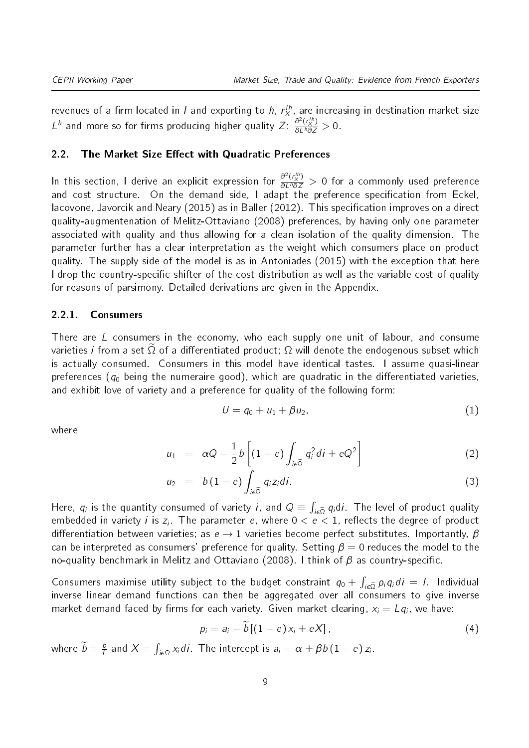revenues of a firm located in / and exporting to  $h$ ,  $r_X^{lh}$  are increasing in destination market size L<sup>h</sup> and more so for firms producing higher quality  $Z: \frac{\partial^2 (r_X^{1/h})}{\partial L^h \partial Z} > 0$ .

#### 2.2. The Market Size Effect with Quadratic Preferences

In this section, I derive an explicit expression for  $\frac{\partial^2 (r_N^{th})}{\partial L^h \partial Z} > 0$  for a commonly used preference and cost structure. On the demand side, I adapt the preference specification from Eckel, Iacovone, Javorcik and Neary (2015) as in Baller (2012). This specification improves on a direct quality-augmentenation of Melitz-Ottaviano (2008) preferences, by having only one parameter associated with quality and thus allowing for a clean isolation of the quality dimension. The parameter further has a clear interpretation as the weight which consumers place on product quality. The supply side of the model is as in Antoniades (2015) with the exception that here I drop the country-specific shifter of the cost distribution as well as the variable cost of quality for reasons of parsimony. Detailed derivations are given in the Appendix.

#### 2.2.1. Consumers

There are L consumers in the economy, who each supply one unit of labour, and consume varieties *i* from a set  $\Omega$  of a differentiated product;  $\Omega$  will denote the endogenous subset which is actually consumed. Consumers in this model have identical tastes. I assume quasi-linear preferences ( $q_0$  being the numeraire good), which are quadratic in the differentiated varieties, and exhibit love of variety and a preference for quality of the following form:

$$
U = q_0 + u_1 + \beta u_2, \tag{1}
$$

where

$$
u_1 = \alpha Q - \frac{1}{2} b \left[ (1 - e) \int_{i \in \widetilde{\Omega}} q_i^2 di + eQ^2 \right]
$$
 (2)

$$
u_2 = b(1-e) \int_{i\epsilon\widetilde{\Omega}} q_i z_i di. \tag{3}
$$

Here,  $q_i$  is the quantity consumed of variety *i*, and  $Q \equiv \int_{i \in \tilde{\Omega}} q_i \, di$ . The level of product quality embedded in variety  $i$  is  $z_i$ . The parameter  $e,$  where  $0 < e < 1,$  reflects the degree of product differentiation between varieties; as  $e \rightarrow 1$  varieties become perfect substitutes. Importantly,  $\beta$ can be interpreted as consumers' preference for quality. Setting  $\beta = 0$  reduces the model to the no-quality benchmark in Melitz and Ottaviano (2008). I think of  $\beta$  as country-specific.

Consumers maximise utility subject to the budget constraint  $q_0 + \int_{i \in \tilde{\Omega}} p_i q_i di = 1$ . Individual inverse linear demand functions can then be aggregated over all consumers to give inverse market demand faced by firms for each variety. Given market clearing,  $x_i = L q_i$ , we have:

$$
p_i = a_i - \widetilde{b} \left[ (1 - e) x_i + e X \right], \tag{4}
$$

where  $\widetilde{b} \equiv \frac{b}{L}$  $\frac{b}{L}$  and  $X \equiv \int_{i\epsilon\Omega} x_i di$ . The intercept is  $a_i = \alpha + \beta b (1-e) z_i$ .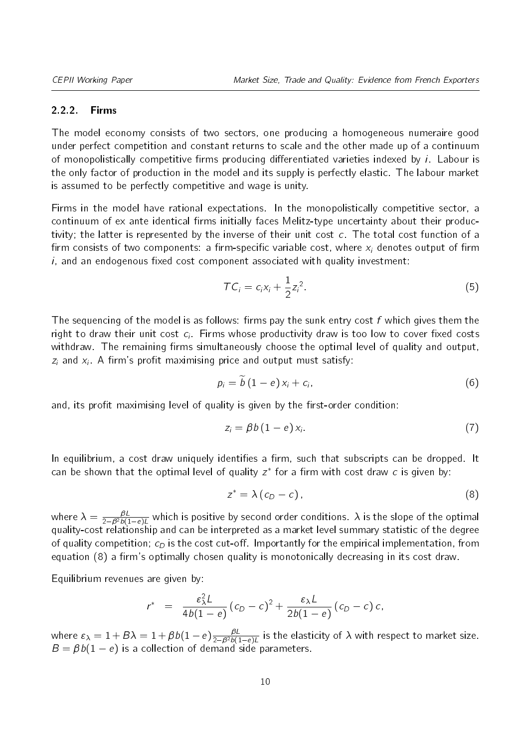#### 2.2.2. Firms

The model economy consists of two sectors, one producing a homogeneous numeraire good under perfect competition and constant returns to scale and the other made up of a continuum of monopolistically competitive firms producing differentiated varieties indexed by  $i$ . Labour is the only factor of production in the model and its supply is perfectly elastic. The labour market is assumed to be perfectly competitive and wage is unity.

Firms in the model have rational expectations. In the monopolistically competitive sector, a continuum of ex ante identical firms initially faces Melitz-type uncertainty about their productivity; the latter is represented by the inverse of their unit cost c. The total cost function of a firm consists of two components: a firm-specific variable cost, where  $x_i$  denotes output of firm  $i$ , and an endogenous fixed cost component associated with quality investment:

$$
TC_i = c_i x_i + \frac{1}{2} z_i^2. \tag{5}
$$

The sequencing of the model is as follows: firms pay the sunk entry cost  $f$  which gives them the right to draw their unit cost  $c_i$ . Firms whose productivity draw is too low to cover fixed costs withdraw. The remaining firms simultaneously choose the optimal level of quality and output,  $z_i$  and  $x_i$ . A firm's profit maximising price and output must satisfy:

$$
p_i = \widetilde{b} (1 - e) x_i + c_i, \tag{6}
$$

and, its profit maximising level of quality is given by the first-order condition:

$$
z_i = \beta b (1 - e) x_i. \tag{7}
$$

In equilibrium, a cost draw uniquely identifies a firm, such that subscripts can be dropped. It can be shown that the optimal level of quality  $z^*$  for a firm with cost draw  $c$  is given by:

<span id="page-9-0"></span>
$$
z^* = \lambda (c_D - c), \qquad (8)
$$

where  $\lambda=\frac{\beta L}{2-\beta^2b(1-e)L}$  which is positive by second order conditions.  $\lambda$  is the slope of the optimal quality-cost relationship and can be interpreted as a market level summary statistic of the degree of quality competition;  $c_D$  is the cost cut-off. Importantly for the empirical implementation, from equation [\(8\)](#page-9-0) a firm's optimally chosen quality is monotonically decreasing in its cost draw.

Equilibrium revenues are given by:

$$
r^* = \frac{\varepsilon_{\lambda}^2 L}{4b(1-e)}(c_D-c)^2 + \frac{\varepsilon_{\lambda} L}{2b(1-e)}(c_D-c) c,
$$

where  $\varepsilon_\lambda=1+B\lambda=1+\beta b(1-e)\frac{\beta L}{2-\beta^2 b(1-e)L}$  is the elasticity of  $\lambda$  with respect to market size.  $B = \beta b(1 - e)$  is a collection of demand side parameters.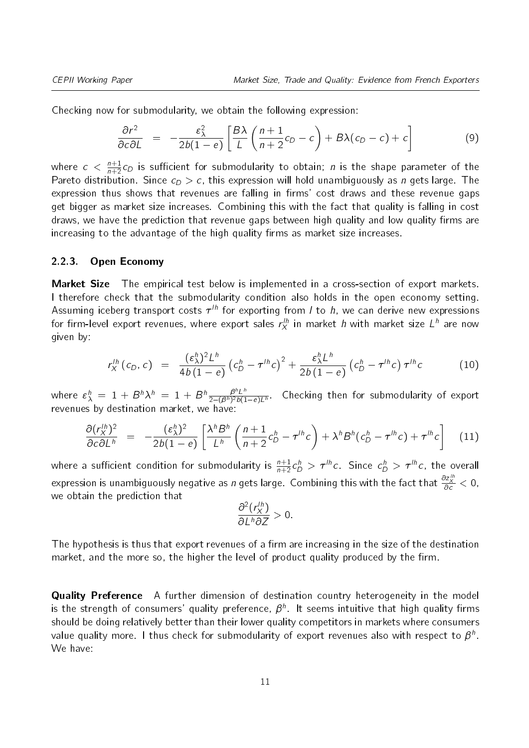Checking now for submodularity, we obtain the following expression:

$$
\frac{\partial r^2}{\partial c \partial L} = -\frac{\varepsilon_\lambda^2}{2b(1-e)} \left[ \frac{B\lambda}{L} \left( \frac{n+1}{n+2} c_D - c \right) + B\lambda (c_D - c) + c \right] \tag{9}
$$

where  $c\,<\,\frac{n+1}{n+2}c_D$  is sufficient for submodularity to obtain;  $n$  is the shape parameter of the Pareto distribution. Since  $c_D > c$ , this expression will hold unambiguously as *n* gets large. The expression thus shows that revenues are falling in firms' cost draws and these revenue gaps get bigger as market size increases. Combining this with the fact that quality is falling in cost draws, we have the prediction that revenue gaps between high quality and low quality firms are increasing to the advantage of the high quality firms as market size increases.

#### 2.2.3. Open Economy

**Market Size** The empirical test below is implemented in a cross-section of export markets. I therefore check that the submodularity condition also holds in the open economy setting. Assuming iceberg transport costs  $\tau^{lh}$  for exporting from  $l$  to  $h$ , we can derive new expressions for firm-level export revenues, where export sales  $r_X^{th}$  in market  $h$  with market size  $L^{\,h}$  are now given by:

$$
r_X^{lh}(c_D,c) = \frac{(\varepsilon_\lambda^h)^2 L^h}{4b(1-e)} \left(c_D^h - \tau^{lh} c\right)^2 + \frac{\varepsilon_\lambda^h L^h}{2b(1-e)} \left(c_D^h - \tau^{lh} c\right) \tau^{lh} c \qquad (10)
$$

where  $\varepsilon^{\,h}_{\lambda}\ =\ 1\,+\,B^{\,h}\lambda^{\,h}\ =\ 1\,+\,B^{\,h}\frac{\beta^h L^h}{2-(\beta^h)^2 b(1)}$  $\frac{B^{\prime\prime}L^{\prime\prime}}{2-(\beta^h)^2b(1-e)L^h}$ . Checking then for submodularity of export revenues by destination market, we have:

$$
\frac{\partial (r_X^{lh})^2}{\partial c \partial L^h} = -\frac{(\varepsilon_\lambda^h)^2}{2b(1-e)} \left[ \frac{\lambda^h B^h}{L^h} \left( \frac{n+1}{n+2} c_D^h - \tau^{lh} c \right) + \lambda^h B^h (c_D^h - \tau^{lh} c) + \tau^{lh} c \right] \tag{11}
$$

where a sufficient condition for submodularity is  $\frac{n+1}{n+2}c_D^h > \tau^{lh}c$ . Since  $c_D^h > \tau^{lh}c$ , the overall expression is unambiguously negative as  $n$  gets large. Combining this with the fact that  $\frac{\partial z'^h_\lambda}{\partial c} < 0$ , we obtain the prediction that

$$
\frac{\partial^2 (r_X^{lh})}{\partial L^h \partial Z} > 0.
$$

The hypothesis is thus that export revenues of a firm are increasing in the size of the destination market, and the more so, the higher the level of product quality produced by the firm.

**Quality Preference** A further dimension of destination country heterogeneity in the model is the strength of consumers' quality preference,  $\beta^h$ . It seems intuitive that high quality firms should be doing relatively better than their lower quality competitors in markets where consumers value quality more. I thus check for submodularity of export revenues also with respect to  $\boldsymbol{\beta}^h$ . We have: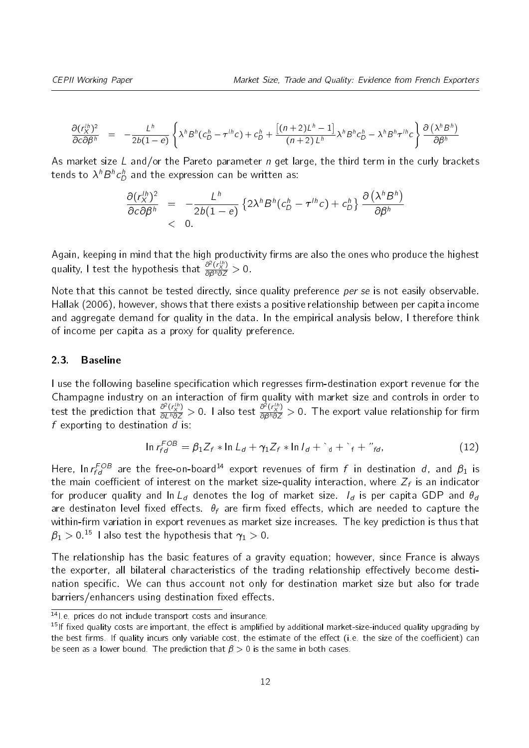**CEPII Working Paper**

\nMarket Size, Trade and Quality: Evidence from French Exporters

\n
$$
\frac{\partial (r_X^{1h})^2}{\partial c \partial \beta^h} = -\frac{L^h}{2b(1-e)} \left\{ \lambda^h B^h(c_D^h - \tau^{1h}c) + c_D^h + \frac{[(n+2)L^h - 1]}{(n+2)L^h} \lambda^h B^h c_D^h - \lambda^h B^h \tau^{1h} c \right\} \frac{\partial (\lambda^h B^h)}{\partial \beta^h}
$$

As market size L and/or the Pareto parameter  $n$  get large, the third term in the curly brackets tends to  $\lambda^h B^h c_D^h$  and the expression can be written as:

$$
\frac{\partial (r_X^{lh})^2}{\partial c \partial \beta^h} = -\frac{L^h}{2b(1-e)} \left\{ 2\lambda^h B^h (c_D^h - \tau^{lh} c) + c_D^h \right\} \frac{\partial (\lambda^h B^h)}{\partial \beta^h} < 0.
$$

Again, keeping in mind that the high productivity firms are also the ones who produce the highest quality, I test the hypothesis that  $\frac{\partial^2 (r_N^{(h)}}{\partial \beta^h \partial Z} > 0$ .

Note that this cannot be tested directly, since quality preference per se is not easily observable. Hallak (2006), however, shows that there exists a positive relationship between per capita income and aggregate demand for quality in the data. In the empirical analysis below, I therefore think of income per capita as a proxy for quality preference.

#### 2.3. Baseline

I use the following baseline specification which regresses firm-destination export revenue for the Champagne industry on an interaction of firm quality with market size and controls in order to test the prediction that  $\frac{\partial^2 (r_h^{th})}{\partial L^h \partial Z} > 0$ . I also test  $\frac{\partial^2 (r_h^{th})}{\partial \beta^h \partial Z} > 0$ . The export value relationship for firm<br>  $f$  exporting to destination *d* is:<br>  $\ln r_{fd}^{FOB} = \beta_1 Z_f * \ln L_d + \gamma_1 Z_f * \ln I_d + \dagger + \dagger + \gamma_{$ f exporting to destination  $\overline{d}$  is:

<span id="page-11-2"></span>
$$
\ln r_{fd}^{FOB} = \beta_1 Z_f * \ln L_d + \gamma_1 Z_f * \ln l_d + \dot{d} + \dot{f} + \dot{f}''_{fd},
$$
\n(12)

Here, In $\, r_{fd}^{FOB} \,$  are the free-on-board $^{14}$  $^{14}$  $^{14}$  export revenues of firm  $f$  in destination  $d$ , and  $\,\beta_1$  is the main coefficient of interest on the market size-quality interaction, where  $Z_f$  is an indicator for producer quality and ln L<sub>d</sub> denotes the log of market size.  $I_d$  is per capita GDP and  $\theta_d$ are destinaton level fixed effects.  $\theta_f$  are firm fixed effects, which are needed to capture the within-firm variation in export revenues as market size increases. The key prediction is thus that  $\beta_1 > 0$ .<sup>[15](#page-11-1)</sup> I also test the hypothesis that  $\gamma_1 > 0$ .

The relationship has the basic features of a gravity equation; however, since France is always the exporter, all bilateral characteristics of the trading relationship effectively become destination specific. We can thus account not only for destination market size but also for trade barriers/enhancers using destination fixed effects.

<span id="page-11-0"></span><sup>14|</sup> e. prices do not include transport costs and insurance.

<span id="page-11-1"></span> $15$ If fixed quality costs are important, the effect is amplified by additional market-size-induced quality upgrading by the best firms. If quality incurs only variable cost, the estimate of the effect (i.e. the size of the coefficient) can be seen as a lower bound. The prediction that  $\beta > 0$  is the same in both cases.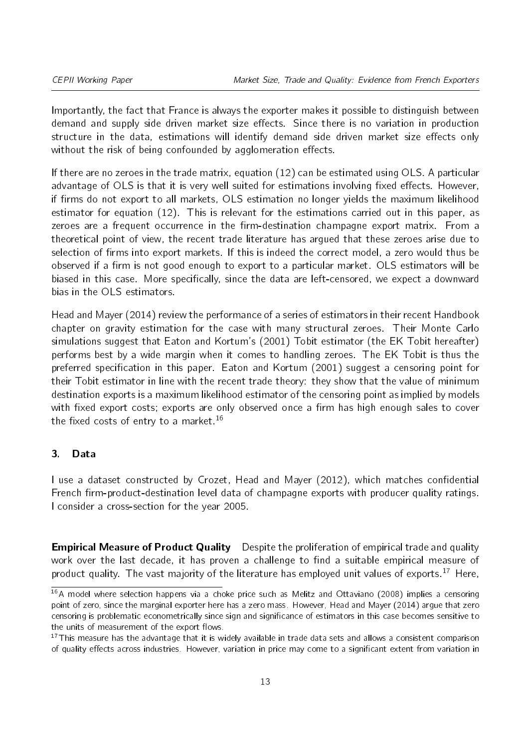Importantly, the fact that France is always the exporter makes it possible to distinguish between demand and supply side driven market size effects. Since there is no variation in production structure in the data, estimations will identify demand side driven market size effects only without the risk of being confounded by agglomeration effects.

If there are no zeroes in the trade matrix, equation [\(12\)](#page-11-2) can be estimated using OLS. A particular advantage of OLS is that it is very well suited for estimations involving fixed effects. However, if firms do not export to all markets, OLS estimation no longer yields the maximum likelihood estimator for equation [\(12\)](#page-11-2). This is relevant for the estimations carried out in this paper, as zeroes are a frequent occurrence in the firm-destination champagne export matrix. From a theoretical point of view, the recent trade literature has argued that these zeroes arise due to selection of firms into export markets. If this is indeed the correct model, a zero would thus be observed if a firm is not good enough to export to a particular market. OLS estimators will be biased in this case. More specifically, since the data are left-censored, we expect a downward bias in the OLS estimators.

Head and Mayer (2014) review the performance of a series of estimators in their recent Handbook chapter on gravity estimation for the case with many structural zeroes. Their Monte Carlo simulations suggest that Eaton and Kortum's (2001) Tobit estimator (the EK Tobit hereafter) performs best by a wide margin when it comes to handling zeroes. The EK Tobit is thus the preferred specification in this paper. Eaton and Kortum (2001) suggest a censoring point for their Tobit estimator in line with the recent trade theory: they show that the value of minimum destination exports is a maximum likelihood estimator of the censoring point as implied by models with fixed export costs; exports are only observed once a firm has high enough sales to cover the fixed costs of entry to a market.<sup>[16](#page-12-1)</sup>

#### <span id="page-12-0"></span>3. Data

I use a dataset constructed by Crozet, Head and Mayer (2012), which matches confidential French firm-product-destination level data of champagne exports with producer quality ratings. I consider a cross-section for the year 2005.

**Empirical Measure of Product Quality** Despite the proliferation of empirical trade and quality work over the last decade, it has proven a challenge to find a suitable empirical measure of product quality. The vast majority of the literature has employed unit values of exports.<sup>[17](#page-12-2)</sup> Here,

<span id="page-12-1"></span> $16A$  model where selection happens via a choke price such as Melitz and Ottaviano (2008) implies a censoring point of zero, since the marginal exporter here has a zero mass. However, Head and Mayer (2014) argue that zero censoring is problematic econometrically since sign and significance of estimators in this case becomes sensitive to the units of measurement of the export flows.

<span id="page-12-2"></span> $17$ This measure has the advantage that it is widely available in trade data sets and allows a consistent comparison of quality effects across industries. However, variation in price may come to a significant extent from variation in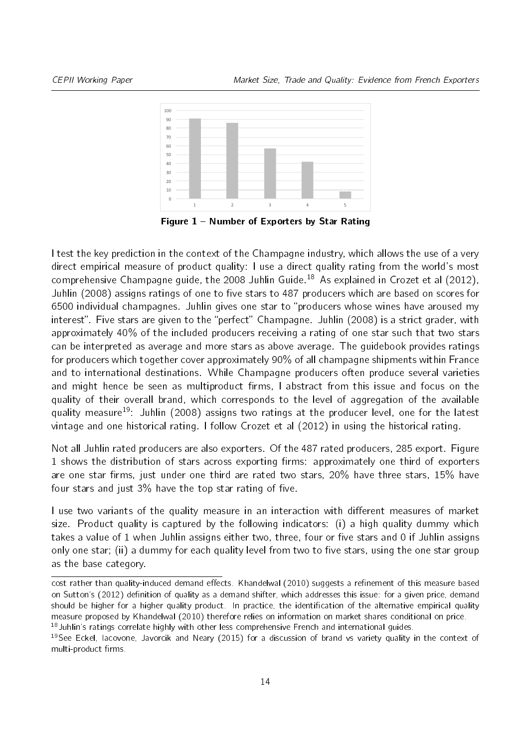<span id="page-13-2"></span>

Figure 1 - Number of Exporters by Star Rating

I test the key prediction in the context of the Champagne industry, which allows the use of a very direct empirical measure of product quality: I use a direct quality rating from the world's most comprehensive Champagne guide, the 2008 Juhlin Guide.<sup>[18](#page-13-0)</sup> As explained in Crozet et al (2012), Juhlin (2008) assigns ratings of one to five stars to 487 producers which are based on scores for 6500 individual champagnes. Juhlin gives one star to "producers whose wines have aroused my interest". Five stars are given to the "perfect" Champagne. Juhlin (2008) is a strict grader, with approximately 40% of the included producers receiving a rating of one star such that two stars can be interpreted as average and more stars as above average. The guidebook provides ratings for producers which together cover approximately 90% of all champagne shipments within France and to international destinations. While Champagne producers often produce several varieties and might hence be seen as multiproduct firms. I abstract from this issue and focus on the quality of their overall brand, which corresponds to the level of aggregation of the available quality measure<sup>[19](#page-13-1)</sup>: Juhlin (2008) assigns two ratings at the producer level, one for the latest vintage and one historical rating. I follow Crozet et al (2012) in using the historical rating.

Not all Juhlin rated producers are also exporters. Of the 487 rated producers, 285 export. Figure [1](#page-13-2) shows the distribution of stars across exporting firms: approximately one third of exporters are one star firms, just under one third are rated two stars,  $20\%$  have three stars,  $15\%$  have four stars and just  $3\%$  have the top star rating of five.

I use two variants of the quality measure in an interaction with different measures of market size. Product quality is captured by the following indicators: (i) a high quality dummy which takes a value of 1 when Juhlin assigns either two, three, four or five stars and 0 if Juhlin assigns only one star; (ii) a dummy for each quality level from two to five stars, using the one star group as the base category.

cost rather than quality-induced demand effects. Khandelwal (2010) suggests a refinement of this measure based on Sutton's (2012) definition of quality as a demand shifter, which addresses this issue: for a given price, demand should be higher for a higher quality product. In practice, the identification of the alternative empirical quality measure proposed by Khandelwal (2010) therefore relies on information on market shares conditional on price.

<span id="page-13-0"></span> $18$  Juhlin's ratings correlate highly with other less comprehensive French and international guides.

<span id="page-13-1"></span><sup>&</sup>lt;sup>19</sup>See Eckel, Jacovone, Javorcik and Neary (2015) for a discussion of brand vs variety quality in the context of multi-product firms.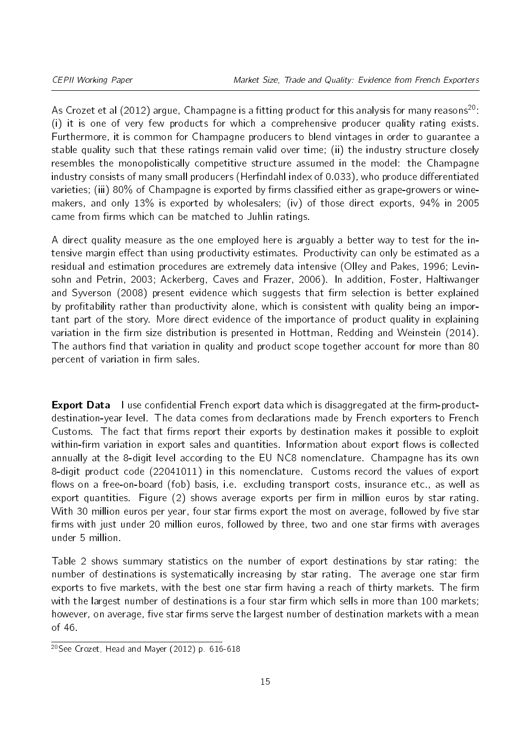As Crozet et al ([20](#page-14-0)12) argue, Champagne is a fitting product for this analysis for many reasons<sup>20</sup>: (i) it is one of very few products for which a comprehensive producer quality rating exists. Furthermore, it is common for Champagne producers to blend vintages in order to guarantee a stable quality such that these ratings remain valid over time; (ii) the industry structure closely resembles the monopolistically competitive structure assumed in the model: the Champagne industry consists of many small producers (Herfindahl index of 0.033), who produce differentiated varieties; (iii) 80% of Champagne is exported by firms classified either as grape-growers or winemakers, and only 13% is exported by wholesalers; (iv) of those direct exports, 94% in 2005 came from firms which can be matched to Juhlin ratings.

A direct quality measure as the one employed here is arguably a better way to test for the intensive margin effect than using productivity estimates. Productivity can only be estimated as a residual and estimation procedures are extremely data intensive (Olley and Pakes, 1996; Levinsohn and Petrin, 2003; Ackerberg, Caves and Frazer, 2006). In addition, Foster, Haltiwanger and Syverson (2008) present evidence which suggests that firm selection is better explained by profitability rather than productivity alone, which is consistent with quality being an important part of the story. More direct evidence of the importance of product quality in explaining variation in the firm size distribution is presented in Hottman, Redding and Weinstein (2014). The authors find that variation in quality and product scope together account for more than 80 percent of variation in firm sales.

**Export Data** I use confidential French export data which is disaggregated at the firm-productdestination-year level. The data comes from declarations made by French exporters to French Customs. The fact that firms report their exports by destination makes it possible to exploit within-firm variation in export sales and quantities. Information about export flows is collected annually at the 8-digit level according to the EU NC8 nomenclature. Champagne has its own 8-digit product code (22041011) in this nomenclature. Customs record the values of export flows on a free-on-board (fob) basis, i.e. excluding transport costs, insurance etc., as well as export quantities. Figure [\(2\)](#page-15-0) shows average exports per firm in million euros by star rating. With 30 million euros per year, four star firms export the most on average, followed by five star firms with just under 20 million euros, followed by three, two and one star firms with averages under 5 million.

Table [2](#page-15-1) shows summary statistics on the number of export destinations by star rating: the number of destinations is systematically increasing by star rating. The average one star firm exports to five markets, with the best one star firm having a reach of thirty markets. The firm with the largest number of destinations is a four star firm which sells in more than 100 markets; however, on average, five star firms serve the largest number of destination markets with a mean of 46.

<span id="page-14-0"></span><sup>&</sup>lt;sup>20</sup>See Crozet, Head and Mayer (2012) p. 616-618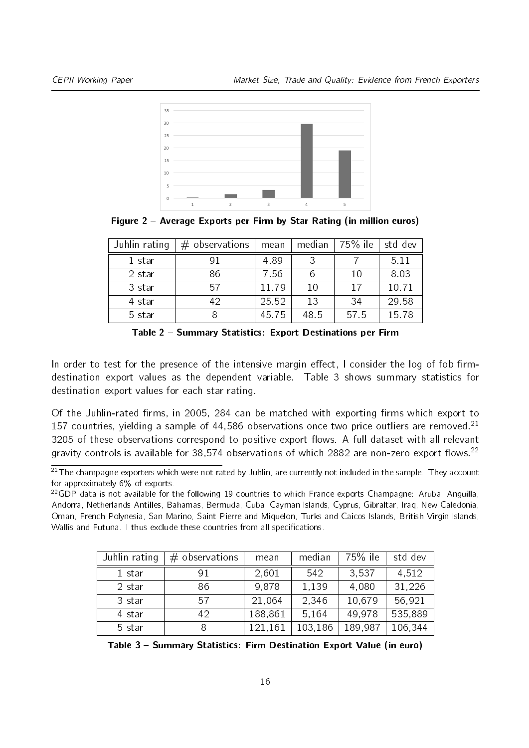<span id="page-15-0"></span>

Figure 2 Average Exports per Firm by Star Rating (in million euros)

<span id="page-15-1"></span>

| Juhlin rating | $#$ observations | mean  | median | 75% ile | std dev |
|---------------|------------------|-------|--------|---------|---------|
| 1 star        |                  | 489   |        |         | 5.11    |
| 2 star        | 86               | 756   | 6      | 10      | 8.03    |
| 3 star        | -57              | 11.79 | 10     | 17      | 1071    |
| 4 star        | 42               | 25 52 | 13     | -34     | 29 58   |
| 5 star        |                  | 45.75 | 48.5   | 575     | 15 78   |

Table 2 - Summary Statistics: Export Destinations per Firm

In order to test for the presence of the intensive margin effect, I consider the log of fob firmdestination export values as the dependent variable. Table [3](#page-15-2) shows summary statistics for destination export values for each star rating.

Of the Juhlin-rated firms, in 2005, 284 can be matched with exporting firms which export to 157 countries, vielding a sample of 44,586 observations once two price outliers are removed.<sup>[21](#page-15-3)</sup> 3205 of these observations correspond to positive export flows. A full dataset with all relevant gravity controls is available for 38,574 observations of which 2882 are non-zero export flows.<sup>[22](#page-15-4)</sup>

<span id="page-15-4"></span> $22GDP$  data is not available for the following 19 countries to which France exports Champagne: Aruba, Anguilla, Andorra, Netherlands Antilles, Bahamas, Bermuda, Cuba, Cayman Islands, Cyprus, Gibraltar, Iraq, New Caledonia, Oman, French Polynesia, San Marino, Saint Pierre and Miquelon, Turks and Caicos Islands, British Virgin Islands, Wallis and Futuna. I thus exclude these countries from all specifications.

<span id="page-15-2"></span>

| Juhlin rating | $#$ observations | mean    | median  | $75\%$ ile | std dev |
|---------------|------------------|---------|---------|------------|---------|
| 1 star        | 91               | 2,601   | 542     | 3,537      | 4,512   |
| 2 star        | 86               | 9,878   | 1,139   | 4,080      | 31,226  |
| 3 star        | 57               | 21,064  | 2.346   | 10,679     | 56.921  |
| 4 star        | 42               | 188,861 | 5,164   | 49,978     | 535,889 |
| 5 star        | 8                | 121,161 | 103,186 | 189,987    | 106,344 |

Table 3 - Summary Statistics: Firm Destination Export Value (in euro)

<span id="page-15-3"></span> $21$ The champagne exporters which were not rated by Juhlin, are currently not included in the sample. They account for approximately 6% of exports.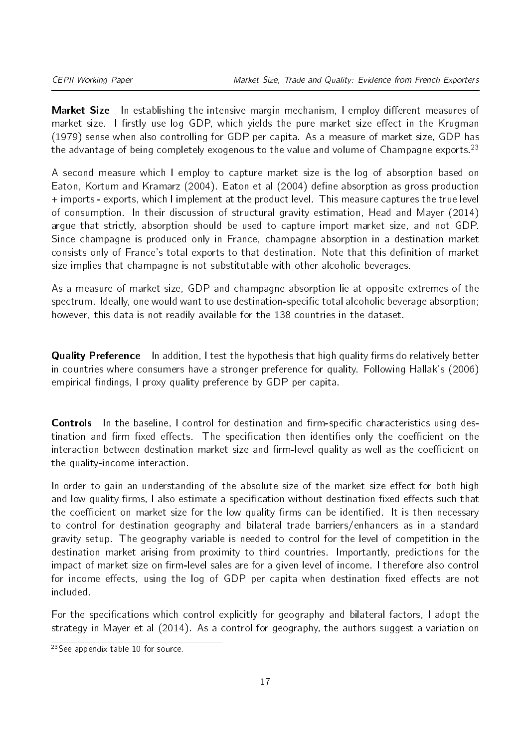Market Size In establishing the intensive margin mechanism, I employ different measures of market size. I firstly use log GDP, which yields the pure market size effect in the Krugman (1979) sense when also controlling for GDP per capita. As a measure of market size, GDP has the advantage of being completely exogenous to the value and volume of Champagne exports.<sup>[23](#page-16-0)</sup>

A second measure which I employ to capture market size is the log of absorption based on Eaton, Kortum and Kramarz (2004). Eaton et al (2004) define absorption as gross production + imports - exports, which I implement at the product level. This measure captures the true level of consumption. In their discussion of structural gravity estimation, Head and Mayer (2014) argue that strictly, absorption should be used to capture import market size, and not GDP. Since champagne is produced only in France, champagne absorption in a destination market consists only of France's total exports to that destination. Note that this definition of market size implies that champagne is not substitutable with other alcoholic beverages.

As a measure of market size, GDP and champagne absorption lie at opposite extremes of the spectrum. Ideally, one would want to use destination-specific total alcoholic beverage absorption; however, this data is not readily available for the 138 countries in the dataset.

**Quality Preference** In addition, I test the hypothesis that high quality firms do relatively better in countries where consumers have a stronger preference for quality. Following Hallak's (2006) empirical findings, I proxy quality preference by GDP per capita.

**Controls** In the baseline, I control for destination and firm-specific characteristics using destination and firm fixed effects. The specification then identifies only the coefficient on the interaction between destination market size and firm-level quality as well as the coefficient on the quality-income interaction.

In order to gain an understanding of the absolute size of the market size effect for both high and low quality firms, I also estimate a specification without destination fixed effects such that the coefficient on market size for the low quality firms can be identified. It is then necessary to control for destination geography and bilateral trade barriers/enhancers as in a standard gravity setup. The geography variable is needed to control for the level of competition in the destination market arising from proximity to third countries. Importantly, predictions for the impact of market size on firm-level sales are for a given level of income. I therefore also control for income effects, using the log of GDP per capita when destination fixed effects are not included.

For the specifications which control explicitly for geography and bilateral factors, I adopt the strategy in Mayer et al (2014). As a control for geography, the authors suggest a variation on

<span id="page-16-0"></span> $23$ See appendix table [10](#page-34-0) for source.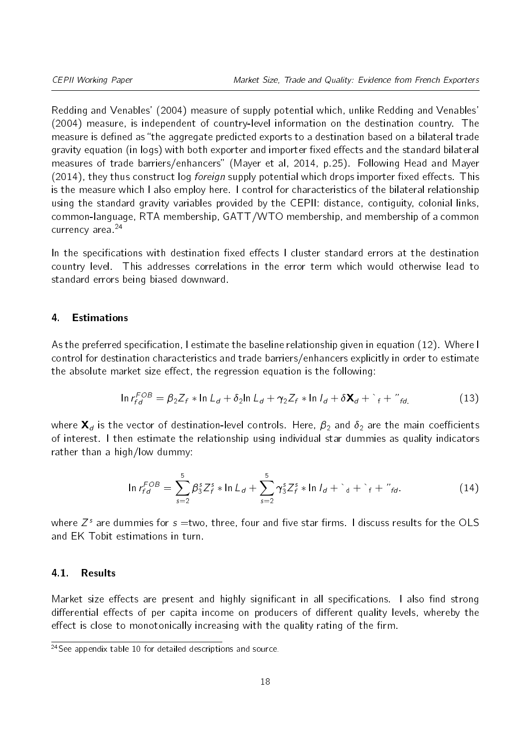Redding and Venables' (2004) measure of supply potential which, unlike Redding and Venables' (2004) measure, is independent of country-level information on the destination country. The measure is defined as "the aggregate predicted exports to a destination based on a bilateral trade gravity equation (in logs) with both exporter and importer fixed effects and the standard bilateral measures of trade barriers/enhancers" (Mayer et al, 2014, p.25). Following Head and Mayer  $(2014)$ , they thus construct log *foreign* supply potential which drops importer fixed effects. This is the measure which I also employ here. I control for characteristics of the bilateral relationship using the standard gravity variables provided by the CEPII: distance, contiguity, colonial links, common-language, RTA membership, GATT/WTO membership, and membership of a common currency area.[24](#page-17-1)

In the specifications with destination fixed effects I cluster standard errors at the destination country level. This addresses correlations in the error term which would otherwise lead to standard errors being biased downward.

#### <span id="page-17-0"></span>4. Estimations

As the preferred specification, I estimate the baseline relationship given in equation [\(12\)](#page-11-2). Where I control for destination characteristics and trade barriers/enhancers explicitly in order to estimate the absolute market size effect, the regression equation is the following:<br>
In  $r_{fd}^{FOB} = \beta_2 Z_f * \ln L_d + \delta_2 \ln L_d + \gamma_2 Z_f * \ln I_d + \delta \mathbf{X}_d + {}^f f + {}^{\prime\prime} f_d,$  (13)

$$
\ln r_{fd}^{FOB} = \beta_2 Z_f * \ln L_d + \delta_2 \ln L_d + \gamma_2 Z_f * \ln I_d + \delta \mathbf{X}_d + {}^{c}{}_{f} + {}^{''}{}_{fd}.
$$
 (13)

where  $\mathbf{X}_d$  is the vector of destination-level controls. Here,  $\beta_2$  and  $\delta_2$  are the main coefficients of interest. I then estimate the relationship using individual star dummies as quality indicators rather than a high/low dummy:

$$
\ln r_{fd}^{FOB} = \sum_{s=2}^{5} \beta_3^s Z_f^s * \ln L_d + \sum_{s=2}^{5} \gamma_3^s Z_f^s * \ln l_d + d + d + d + d + d
$$
 (14)

where  $Z^s$  are dummies for  $s=$ two, three, four and five star firms. I discuss results for the OLS and EK Tobit estimations in turn.

#### 4.1. Results

Market size effects are present and highly significant in all specifications. I also find strong differential effects of per capita income on producers of different quality levels, whereby the effect is close to monotonically increasing with the quality rating of the firm.

<span id="page-17-1"></span> $24$ See appendix table [10](#page-34-0) for detailed descriptions and source.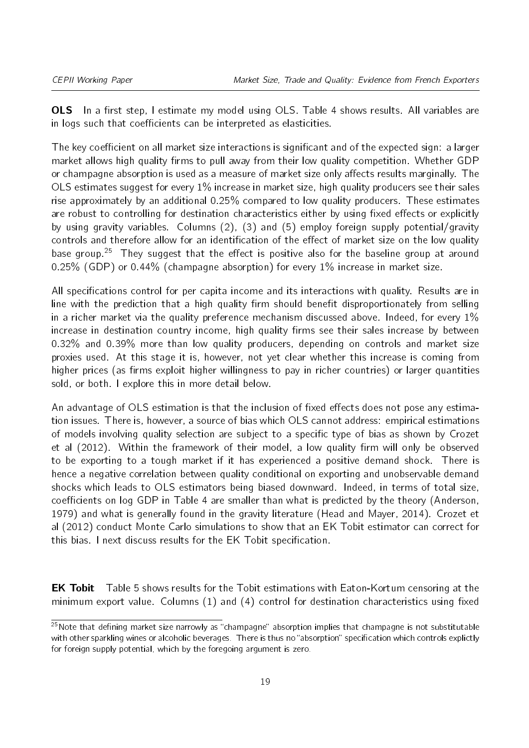OLS In a first step, I estimate my model using OLS. Table 4 shows results. All variables are in logs such that coefficients can be interpreted as elasticities.

The key coefficient on all market size interactions is significant and of the expected sign: a larger market allows high quality firms to pull away from their low quality competition. Whether GDP or champagne absorption is used as a measure of market size only affects results marginally. The OLS estimates suggest for every 1% increase in market size, high quality producers see their sales rise approximately by an additional 0.25% compared to low quality producers. These estimates are robust to controlling for destination characteristics either by using fixed effects or explicitly by using gravity variables. Columns (2), (3) and (5) employ foreign supply potential/gravity controls and therefore allow for an identification of the effect of market size on the low quality base group.<sup>[25](#page-18-0)</sup> They suggest that the effect is positive also for the baseline group at around 0.25% (GDP) or 0.44% (champagne absorption) for every 1% increase in market size.

All specifications control for per capita income and its interactions with quality. Results are in line with the prediction that a high quality firm should benefit disproportionately from selling in a richer market via the quality preference mechanism discussed above. Indeed, for every  $1\%$ increase in destination country income, high quality firms see their sales increase by between 0.32% and 0.39% more than low quality producers, depending on controls and market size proxies used. At this stage it is, however, not yet clear whether this increase is coming from higher prices (as firms exploit higher willingness to pay in richer countries) or larger quantities sold, or both. I explore this in more detail below.

An advantage of OLS estimation is that the inclusion of fixed effects does not pose any estimation issues. There is, however, a source of bias which OLS cannot address: empirical estimations of models involving quality selection are subject to a specific type of bias as shown by Crozet et al (2012). Within the framework of their model, a low quality firm will only be observed to be exporting to a tough market if it has experienced a positive demand shock. There is hence a negative correlation between quality conditional on exporting and unobservable demand shocks which leads to OLS estimators being biased downward. Indeed, in terms of total size, coefficients on log GDP in Table 4 are smaller than what is predicted by the theory (Anderson, 1979) and what is generally found in the gravity literature (Head and Mayer, 2014). Crozet et al (2012) conduct Monte Carlo simulations to show that an EK Tobit estimator can correct for this bias. I next discuss results for the EK Tobit specification.

**EK Tobit** Table 5 shows results for the Tobit estimations with Eaton-Kortum censoring at the minimum export value. Columns  $(1)$  and  $(4)$  control for destination characteristics using fixed

<span id="page-18-0"></span> $25$ Note that defining market size narrowly as "champagne" absorption implies that champagne is not substitutable with other sparkling wines or alcoholic beverages. There is thus no "absorption" specification which controls explictly for foreign supply potential, which by the foregoing argument is zero.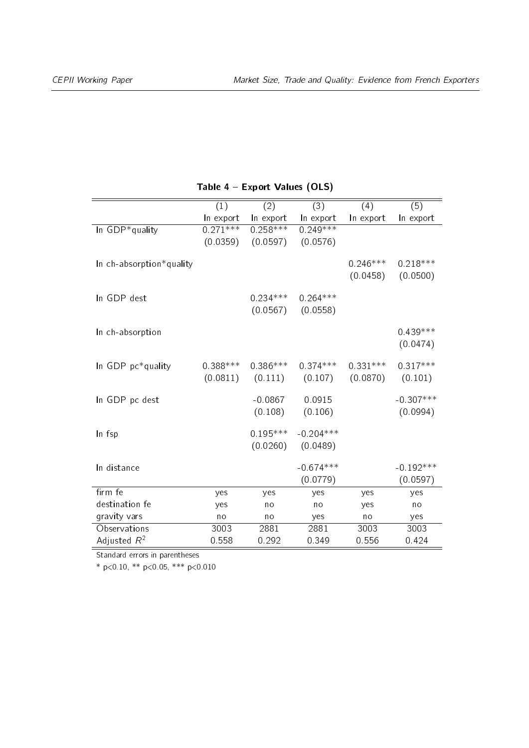|                          | (1)        | (2)        | (3)                            | (4)        | (5)                   |
|--------------------------|------------|------------|--------------------------------|------------|-----------------------|
|                          | In export  | In export  | In export                      | In export  | In export             |
| In GDP*quality           | $0.271***$ | $0.258***$ | $0.249***$                     |            |                       |
|                          | (0.0359)   | (0.0597)   | (0.0576)                       |            |                       |
|                          |            |            |                                |            |                       |
| In ch-absorption*quality |            |            |                                | $0.246***$ | $0.218***$            |
|                          |            |            |                                |            | $(0.0458)$ $(0.0500)$ |
|                          |            |            |                                |            |                       |
| In GDP dest              |            | $0.234***$ | $0.264***$                     |            |                       |
|                          |            |            | $(0.0567)$ $(0.0558)$          |            |                       |
| In ch-absorption         |            |            |                                |            | $0.439***$            |
|                          |            |            |                                |            | (0.0474)              |
|                          |            |            |                                |            |                       |
| In GDP pc*quality        | $0.388***$ | $0.386***$ | $0.374***$                     | $0.331***$ | $0.317***$            |
|                          | (0.0811)   |            | $(0.111)$ $(0.107)$ $(0.0870)$ |            | (0.101)               |
|                          |            |            |                                |            |                       |
| In GDP pc dest           |            | $-0.0867$  | 0.0915                         |            | $-0.307***$           |
|                          |            | (0.108)    | (0.106)                        |            | (0.0994)              |
|                          |            |            |                                |            |                       |
| In fsp                   |            | $0.195***$ | $-0.204***$                    |            |                       |
|                          |            | (0.0260)   | (0.0489)                       |            |                       |
| In distance              |            |            | $-0.674***$                    |            | $-0.192***$           |
|                          |            |            | (0.0779)                       |            | (0.0597)              |
| firm fe                  | yes        | yes        | yes                            | yes        | yes                   |
| destination fe           | yes        | no         | no                             | yes        | no                    |
| gravity vars             | no         | no         | yes                            | no         | yes                   |
| Observations             | 3003       | 2881       | 2881                           | 3003       | 3003                  |
| Adjusted $R^2$           | 0558       | 0.292      | 0.349                          | 0.556      | 0 4 2 4               |
|                          |            |            |                                |            |                       |

### Table 4 - Export Values (OLS)

Standard errors in parentheses

\* p<0.10, \*\* p<0.05, \*\*\* p<0.010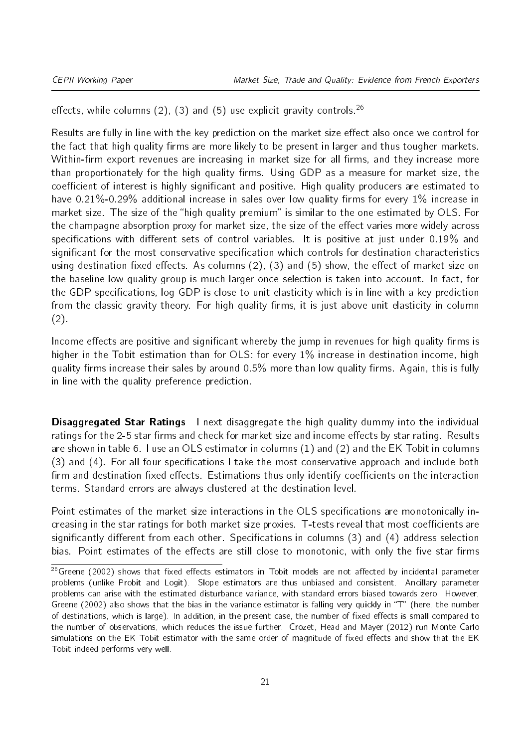effects, while columns (2), (3) and (5) use explicit gravity controls.<sup>[26](#page-20-0)</sup>

Results are fully in line with the key prediction on the market size effect also once we control for the fact that high quality firms are more likely to be present in larger and thus tougher markets. Within-firm export revenues are increasing in market size for all firms, and they increase more than proportionately for the high quality firms. Using GDP as a measure for market size, the coefficient of interest is highly significant and positive. High quality producers are estimated to have  $0.21\%$ -0.29% additional increase in sales over low quality firms for every  $1\%$  increase in market size. The size of the "high quality premium" is similar to the one estimated by OLS. For the champagne absorption proxy for market size, the size of the effect varies more widely across specifications with different sets of control variables. It is positive at just under 0.19% and significant for the most conservative specification which controls for destination characteristics using destination fixed effects. As columns  $(2)$ ,  $(3)$  and  $(5)$  show, the effect of market size on the baseline low quality group is much larger once selection is taken into account. In fact, for the GDP specifications, log GDP is close to unit elasticity which is in line with a key prediction from the classic gravity theory. For high quality firms, it is just above unit elasticity in column (2).

Income effects are positive and significant whereby the jump in revenues for high quality firms is higher in the Tobit estimation than for OLS: for every 1% increase in destination income, high quality firms increase their sales by around  $0.5\%$  more than low quality firms. Again, this is fully in line with the quality preference prediction.

**Disaggregated Star Ratings** I next disaggregate the high quality dummy into the individual ratings for the 2-5 star firms and check for market size and income effects by star rating. Results are shown in table 6. I use an OLS estimator in columns (1) and (2) and the EK Tobit in columns  $(3)$  and  $(4)$ . For all four specifications I take the most conservative approach and include both firm and destination fixed effects. Estimations thus only identify coefficients on the interaction terms. Standard errors are always clustered at the destination level.

Point estimates of the market size interactions in the OLS specifications are monotonically increasing in the star ratings for both market size proxies. T-tests reveal that most coefficients are significantly different from each other. Specifications in columns  $(3)$  and  $(4)$  address selection bias. Point estimates of the effects are still close to monotonic, with only the five star firms

<span id="page-20-0"></span><sup>&</sup>lt;sup>26</sup> Greene (2002) shows that fixed effects estimators in Tobit models are not affected by incidental parameter problems (unlike Probit and Logit). Slope estimators are thus unbiased and consistent. Ancillary parameter problems can arise with the estimated disturbance variance, with standard errors biased towards zero. However, Greene (2002) also shows that the bias in the variance estimator is falling very quickly in "T" (here, the number of destinations, which is large). In addition, in the present case, the number of fixed effects is small compared to the number of observations, which reduces the issue further. Crozet, Head and Mayer (2012) run Monte Carlo simulations on the EK Tobit estimator with the same order of magnitude of fixed effects and show that the EK Tobit indeed performs very well.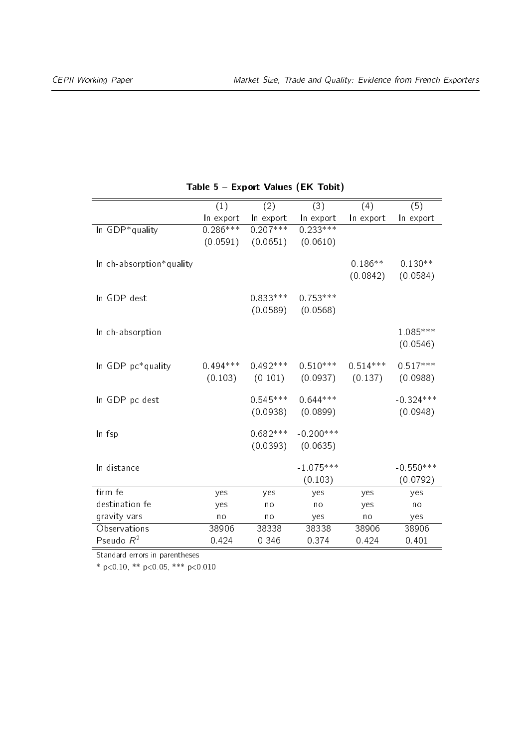|                          | (1)        | (2)                 | (3)         | (4)                  | (5)         |
|--------------------------|------------|---------------------|-------------|----------------------|-------------|
|                          | In export  | In export           | In export   | In export            | In export   |
| In GDP*quality           | $0.286***$ | $0.207***$          | $0.233***$  |                      |             |
|                          | (0.0591)   | (0.0651)            | (0.0610)    |                      |             |
|                          |            |                     |             |                      |             |
| In ch-absorption*quality |            |                     |             | $0.186**$            | $0.130**$   |
|                          |            |                     |             | (0.0842)             | (0.0584)    |
| In GDP dest              |            | $0.833***$          | $0.753***$  |                      |             |
|                          |            | (0.0589)            | (0.0568)    |                      |             |
|                          |            |                     |             |                      |             |
| In ch-absorption         |            |                     |             |                      | $1.085***$  |
|                          |            |                     |             |                      | (0.0546)    |
|                          |            |                     |             |                      |             |
| In GDP pc*quality        | $0.494***$ | $0.492***$          | $0.510***$  | $0.514***$           | $0.517***$  |
|                          |            | $(0.103)$ $(0.101)$ |             | $(0.0937)$ $(0.137)$ | (0.0988)    |
|                          |            |                     |             |                      |             |
| In GDP pc dest           |            | $0.545***$          | $0.644***$  |                      | $-0.324***$ |
|                          |            | (0.0938)            | (0.0899)    |                      | (0.0948)    |
| In fsp                   |            | $0.682***$          | $-0.200***$ |                      |             |
|                          |            | (0.0393)            | (0.0635)    |                      |             |
|                          |            |                     |             |                      |             |
| In distance              |            |                     | $-1.075***$ |                      | $-0.550***$ |
|                          |            |                     | (0.103)     |                      | (0.0792)    |
| firm fe                  | yes        | yes                 | yes         | yes                  | yes         |
| destination fe           | yes        | no                  | no          | yes                  | no          |
| gravity vars             | no         | no                  | yes         | no                   | yes         |
| Observations             | 38906      | 38338               | 38338       | 38906                | 38906       |
| Pseudo $R^2$             | 0.424      | 0 346               | 0 374       | 0 4 2 4              | 0.401       |

### Table 5 Export Values (EK Tobit)

Standard errors in parentheses

\* p<0.10, \*\* p<0.05, \*\*\* p<0.010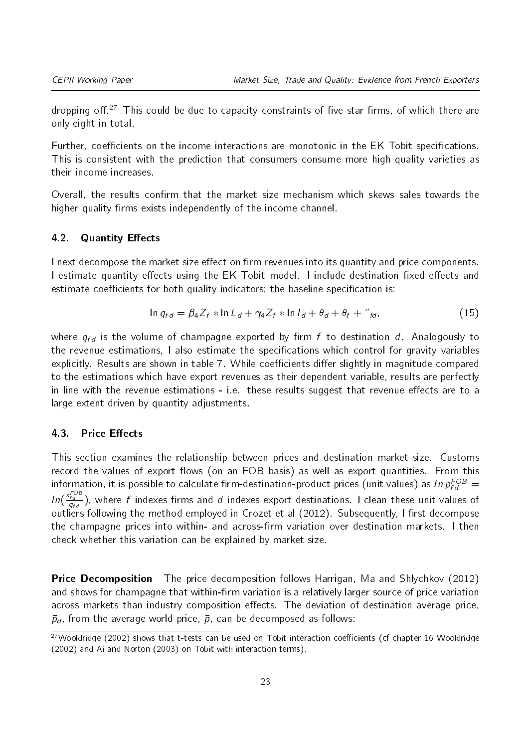dropping off.<sup>[27](#page-22-0)</sup> This could be due to capacity constraints of five star firms, of which there are only eight in total.

Further, coefficients on the income interactions are monotonic in the EK Tobit specifications. This is consistent with the prediction that consumers consume more high quality varieties as their income increases.

Overall, the results confirm that the market size mechanism which skews sales towards the higher quality firms exists independently of the income channel.

#### 4.2. Quantity Effects

I next decompose the market size effect on firm revenues into its quantity and price components. I estimate quantity effects using the EK Tobit model. I include destination fixed effects and estimate coefficients for both quality indicators; the baseline specification is:<br>  $\ln q_{fd} = \beta_4 Z_f * \ln L_d + \gamma_4 Z_f * \ln I_d + \theta_d + \theta_f + \mu_{fd}$ , (15)

$$
\ln q_{fd} = \beta_4 Z_f * \ln L_d + \gamma_4 Z_f * \ln I_d + \theta_d + \theta_f + \partial_{fd}
$$
\n(15)

where  $q_{fd}$  is the volume of champagne exported by firm f to destination d. Analogously to the revenue estimations, I also estimate the specifications which control for gravity variables explicitly. Results are shown in table 7. While coefficients differ slightly in magnitude compared to the estimations which have export revenues as their dependent variable, results are perfectly in line with the revenue estimations - i.e. these results suggest that revenue effects are to a large extent driven by quantity adjustments.

#### 4.3. Price Effects

This section examines the relationship between prices and destination market size. Customs record the values of export flows (on an FOB basis) as well as export quantities. From this information, it is possible to calculate firm-destination-product prices (unit values) as In $\,p_{fd}^{FOB} =$ In( $\frac{X_{fd}^{FOB}}{q_{fd}}$ ), where f indexes firms and d indexes export destinations. I clean these unit values of outliers following the method employed in Crozet et al  $(2012)$ . Subsequently, I first decompose the champagne prices into within- and across-firm variation over destination markets. I then check whether this variation can be explained by market size.

**Price Decomposition** The price decomposition follows Harrigan, Ma and Shlychkov (2012) and shows for champagne that within-firm variation is a relatively larger source of price variation across markets than industry composition effects. The deviation of destination average price,  $\bar{p}_d$ , from the average world price,  $\bar{p}$ , can be decomposed as follows:

<span id="page-22-0"></span> $27$ Wooldridge (2002) shows that t-tests can be used on Tobit interaction coefficients (cf chapter 16 Wooldridge (2002) and Ai and Norton (2003) on Tobit with interaction terms).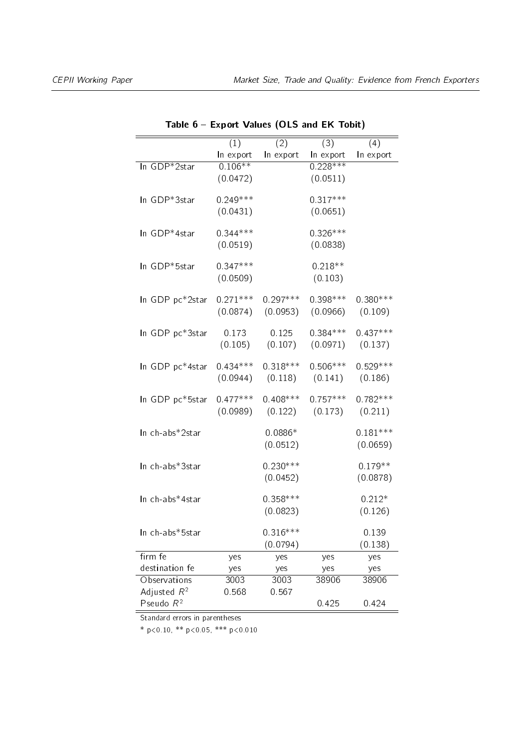|                 | (1)        | (2)        | (3)        | (4)        |
|-----------------|------------|------------|------------|------------|
|                 | In export  | In export  | In export  | In export  |
| In GDP*2star    | $0.106**$  |            | $0.228***$ |            |
|                 | (0.0472)   |            | (0.0511)   |            |
|                 |            |            |            |            |
| In GDP*3star    | $0.249***$ |            | $0.317***$ |            |
|                 | (0.0431)   |            | (0.0651)   |            |
|                 |            |            |            |            |
| In GDP*4star    | $0.344***$ |            | $0.326***$ |            |
|                 | (0.0519)   |            | (0.0838)   |            |
|                 |            |            |            |            |
| In GDP*5star    | $0.347***$ |            | $0.218**$  |            |
|                 | (0.0509)   |            | (0.103)    |            |
| In GDP pc*2star | $0.271***$ | $0.297***$ | $0.398***$ | $0.380***$ |
|                 | (0.0874)   | (0.0953)   | (0.0966)   | (0.109)    |
|                 |            |            |            |            |
| In GDP pc*3star | 0 1 7 3    | 0.125      | $0.384***$ | $0.437***$ |
|                 | (0.105)    | $(0\ 107)$ | (0.0971)   | (0.137)    |
|                 |            |            |            |            |
| In GDP pc*4star | $0.434***$ | $0.318***$ | $0.506***$ | $0.529***$ |
|                 | (0.0944)   | (0.118)    | (0.141)    | (0.186)    |
|                 |            |            |            |            |
| In GDP pc*5star | $0.477***$ | $0.408***$ | $0.757***$ | $0.782***$ |
|                 | (0.0989)   | (0.122)    | (0.173)    | (0.211)    |
|                 |            |            |            |            |
| In ch-abs*2star |            | $0.0886*$  |            | $0.181***$ |
|                 |            | (0.0512)   |            | (0.0659)   |
|                 |            |            |            |            |
| In ch-abs*3star |            | $0.230***$ |            | $0.179**$  |
|                 |            | (0.0452)   |            | (0.0878)   |
| In ch-abs*4star |            | $0.358***$ |            | $0.212*$   |
|                 |            |            |            |            |
|                 |            | (0.0823)   |            | (0.126)    |
| In ch-abs*5star |            | $0.316***$ |            | 0.139      |
|                 |            | (0.0794)   |            | (0.138)    |
| firm fe         | yes        | yes        | yes        | yes        |
| destination fe  | yes        | yes        | yes        | yes        |
| Observations    | 3003       | 3003       | 38906      | 38906      |
| Adjusted $R^2$  | 0.568      | 0.567      |            |            |
| Pseudo $R^2$    |            |            | 0.425      | 0.424      |
|                 |            |            |            |            |

Table 6 Export Values (OLS and EK Tobit)

Standard errors in parentheses

\* p<0.10, \*\* p<0.05, \*\*\* p<0.010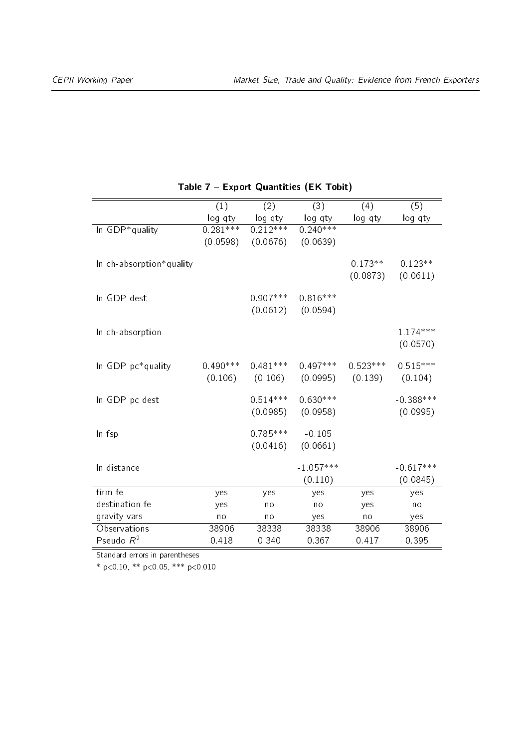|                          | (1)        | (2)                   | (3)                   | (4)        | (5)         |
|--------------------------|------------|-----------------------|-----------------------|------------|-------------|
|                          | log qty    | log qty               | log qty               | log qty    | log qty     |
| In GDP*quality           | $0.281***$ | $0.212***$            | $0.240***$            |            |             |
|                          |            | $(0.0598)$ $(0.0676)$ | (0.0639)              |            |             |
|                          |            |                       |                       |            |             |
| In ch-absorption*quality |            |                       |                       | $0.173**$  | $0.123**$   |
|                          |            |                       |                       | (0.0873)   | (0.0611)    |
| In GDP dest              |            | $0.907***$            | $0.816***$            |            |             |
|                          |            |                       | $(0.0612)$ $(0.0594)$ |            |             |
|                          |            |                       |                       |            |             |
| In ch-absorption         |            |                       |                       |            | $1.174***$  |
|                          |            |                       |                       |            | (0.0570)    |
|                          |            |                       |                       |            |             |
| In GDP pc*quality        | $0.490***$ | $0.481***$            | $0.497***$            | $0.523***$ | $0.515***$  |
|                          |            | $(0.106)$ $(0.106)$   | $(0.0995)$ $(0.139)$  |            | (0.104)     |
| In GDP pc dest           |            | $0.514***$            | $0.630***$            |            | $-0.388***$ |
|                          |            | (0.0985)              | (0.0958)              |            | (0.0995)    |
|                          |            |                       |                       |            |             |
| In fsp                   |            | $0.785***$            | $-0.105$              |            |             |
|                          |            | (0.0416)              | (0.0661)              |            |             |
| In distance              |            |                       | $-1.057***$           |            | $-0.617***$ |
|                          |            |                       |                       |            |             |
|                          |            |                       | (0.110)               |            | (0.0845)    |
| firm fe                  | yes        | yes                   | yes                   | yes        | yes         |
| destination fe           | yes        | no                    | no                    | yes        | no          |
| gravity vars             | no         | no                    | yes                   | no         | yes         |
| Observations             | 38906      | 38338                 | 38338                 | 38906      | 38906       |
| Pseudo $R^2$             | 0 4 1 8    | 0.340                 | 0 3 6 7               | 0 417      | 0.395       |

### Table 7 - Export Quantities (EK Tobit)

Standard errors in parentheses

\* p<0.10, \*\* p<0.05, \*\*\* p<0.010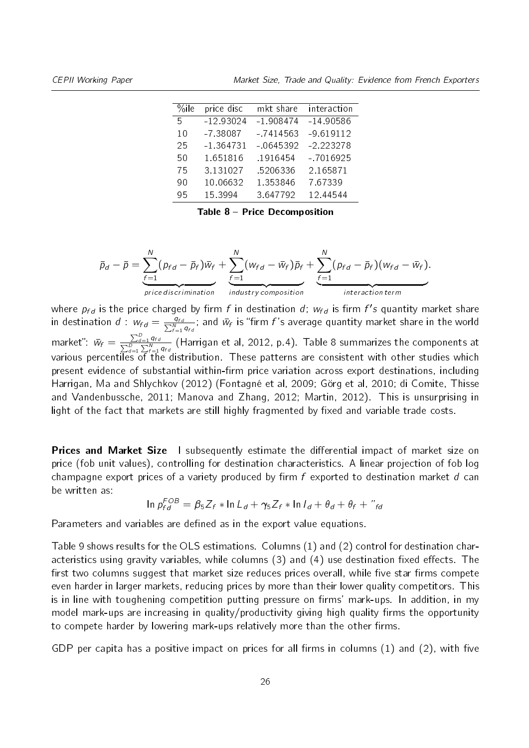<span id="page-25-0"></span>CEPII Working Paper Market Size, Trade and Quality: Evidence from French Exporters

| $\%$ ile | price disc  | mkt share  | interaction |
|----------|-------------|------------|-------------|
| 5        | $-12.93024$ | $-1908474$ | $-14.90586$ |
| 10       | -7 38087    | $-7414563$ | $-9619112$  |
| 25       | $-1.364731$ | $-0645392$ | $-2.223278$ |
| 50       | 1.651816    | 1916454    | $-7016925$  |
| 75       | 3.131027    | .5206336   | 2.165871    |
| 90       | 10.06632    | 1.353846   | 7 67339     |
| 95       | 15 3994     | 3 647792   | 12.44544    |

Table 8 - Price Decomposition

$$
\bar{p}_d - \bar{p} = \underbrace{\sum_{f=1}^N (p_{fd} - \bar{p}_f) \bar{w}_f}_{price\,discrimination} + \underbrace{\sum_{f=1}^N (w_{fd} - \bar{w}_f) \bar{p}_f}_{industry\,composition} + \underbrace{\sum_{f=1}^N (p_{fd} - \bar{p}_f) (w_{fd} - \bar{w}_f)}_{interaction\,term}.
$$

where  $p_{fd}$  is the price charged by firm  $f$  in destination  $d$ ;  $w_{fd}$  is firm  $f's$  quantity market share in destination  $d$  :  $w_{fd}=\frac{q_{fd}}{\sum_{f=1}^N q_{fd}}$ ; and  $\bar{w}_f$  is "firm  $f$ 's average quantity market share in the world market":  $\bar{w}_f = \frac{\sum_{d=1}^{D}}{\sum_{i=1}^{D}}$ P  $\frac{\sum_{d=1}^Uq_{fd}}{d=1}\frac{q_{fd}}{\sum_{f=1}^Kq_{fd}}$  (Harrigan et al, 2012, p.4). Table [8](#page-25-0) summarizes the components at various percentiles of the distribution. These patterns are consistent with other studies which present evidence of substantial within-firm price variation across export destinations, including Harrigan, Ma and Shlychkov (2012) (Fontagné et al, 2009; Görg et al, 2010; di Comite, Thisse and Vandenbussche, 2011; Manova and Zhang, 2012; Martin, 2012). This is unsurprising in light of the fact that markets are still highly fragmented by fixed and variable trade costs.

**Prices and Market Size** I subsequently estimate the differential impact of market size on price (fob unit values), controlling for destination characteristics. A linear projection of fob log champagne export prices of a variety produced by firm  $f$  exported to destination market  $d$  can<br>be written as:<br> $\ln p_{fd}^{COB} = \beta_5 Z_f * \ln L_d + \gamma_5 Z_f * \ln I_d + \theta_d + \theta_f + \mu_{fd}$ be written as:

$$
\ln p_{fd}^{FOB} = \beta_5 Z_f * \ln L_d + \gamma_5 Z_f * \ln l_d + \theta_d + \theta_f + "_{fd}
$$

Parameters and variables are defined as in the export value equations.

Table 9 shows results for the OLS estimations. Columns (1) and (2) control for destination characteristics using gravity variables, while columns  $(3)$  and  $(4)$  use destination fixed effects. The first two columns suggest that market size reduces prices overall, while five star firms compete even harder in larger markets, reducing prices by more than their lower quality competitors. This is in line with toughening competition putting pressure on firms' mark-ups. In addition, in my model mark-ups are increasing in quality/productivity giving high quality firms the opportunity to compete harder by lowering mark-ups relatively more than the other firms.

GDP per capita has a positive impact on prices for all firms in columns  $(1)$  and  $(2)$ , with five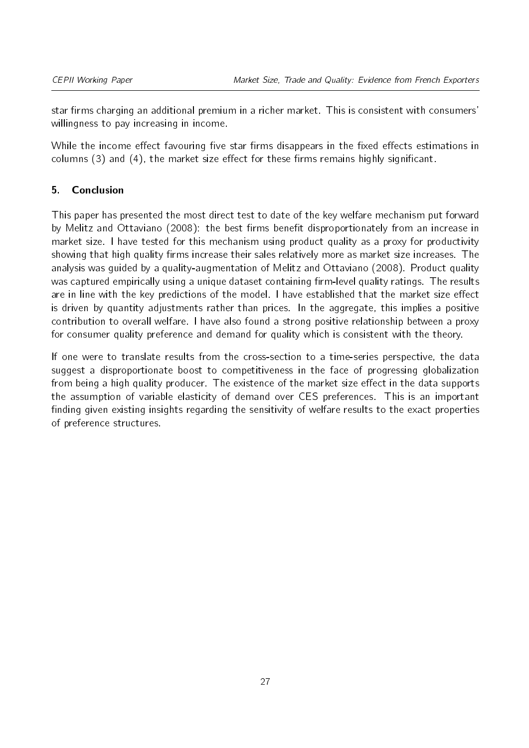star firms charging an additional premium in a richer market. This is consistent with consumers' willingness to pay increasing in income.

While the income effect favouring five star firms disappears in the fixed effects estimations in columns  $(3)$  and  $(4)$ , the market size effect for these firms remains highly significant.

## <span id="page-26-0"></span>5. Conclusion

This paper has presented the most direct test to date of the key welfare mechanism put forward by Melitz and Ottaviano (2008): the best firms benefit disproportionately from an increase in market size. I have tested for this mechanism using product quality as a proxy for productivity showing that high quality firms increase their sales relatively more as market size increases. The analysis was guided by a quality-augmentation of Melitz and Ottaviano (2008). Product quality was captured empirically using a unique dataset containing firm-level quality ratings. The results are in line with the key predictions of the model. I have established that the market size effect is driven by quantity adjustments rather than prices. In the aggregate, this implies a positive contribution to overall welfare. I have also found a strong positive relationship between a proxy for consumer quality preference and demand for quality which is consistent with the theory.

If one were to translate results from the cross-section to a time-series perspective, the data suggest a disproportionate boost to competitiveness in the face of progressing globalization from being a high quality producer. The existence of the market size effect in the data supports the assumption of variable elasticity of demand over CES preferences. This is an important finding given existing insights regarding the sensitivity of welfare results to the exact properties of preference structures.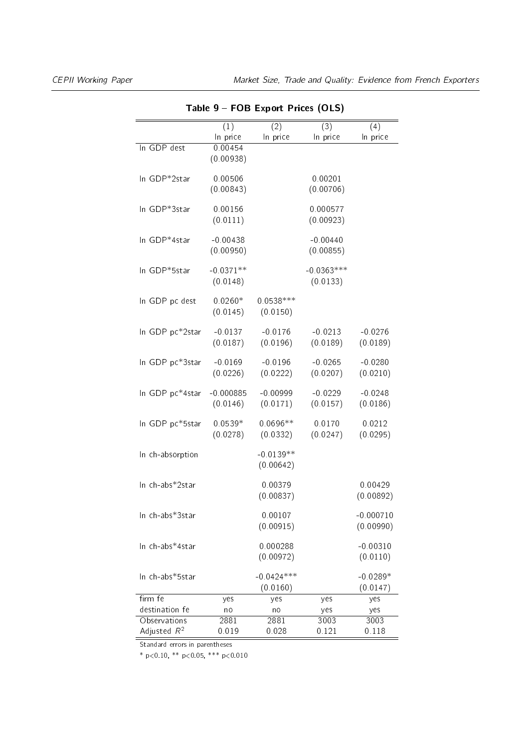|                  |                  | Table 9 – FOB Export Prices (OLS) |                  |             |
|------------------|------------------|-----------------------------------|------------------|-------------|
|                  | $\overline{(1)}$ | $\overline{(2)}$                  | $\overline{(3)}$ | (4)         |
|                  | In price         | In price                          | In price         | In price    |
| In GDP dest      | 0.00454          |                                   |                  |             |
|                  | (0.00938)        |                                   |                  |             |
| In GDP*2star     | 0.00506          |                                   | 0.00201          |             |
|                  | (0.00843)        |                                   | (0.00706)        |             |
|                  |                  |                                   |                  |             |
| In GDP*3star     | 0.00156          |                                   | 0.000577         |             |
|                  | (0.0111)         |                                   | (0.00923)        |             |
| In GDP*4star     | $-0.00438$       |                                   | $-0.00440$       |             |
|                  | (0.00950)        |                                   | (0.00855)        |             |
|                  |                  |                                   |                  |             |
| In GDP*5star     | $-0.0371**$      |                                   | $-0.0363***$     |             |
|                  | (0.0148)         |                                   | (0.0133)         |             |
| In GDP pc dest   | $0.0260*$        | $0.0538***$                       |                  |             |
|                  | (0.0145)         | (0.0150)                          |                  |             |
|                  |                  |                                   |                  |             |
| In GDP pc*2star  | $-0.0137$        | $-0.0176$                         | $-0.0213$        | $-0.0276$   |
|                  | (0.0187)         | (0.0196)                          | (0.0189)         | (0.0189)    |
|                  |                  |                                   |                  |             |
| In GDP pc*3star  | $-0.0169$        | $-0.0196$                         | $-0.0265$        | $-0.0280$   |
|                  | (0.0226)         | (0.0222)                          | (0.0207)         | (0.0210)    |
| In GDP pc*4star  | $-0.000885$      | $-0.00999$                        | $-0.0229$        | $-0.0248$   |
|                  | (0.0146)         | (0.0171)                          | (0.0157)         | (0.0186)    |
|                  |                  |                                   |                  |             |
| In GDP pc*5star  | $0.0539*$        | $0.0696**$                        | 0.0170           | 0.0212      |
|                  | (0.0278)         | (0.0332)                          | (0.0247)         | (0.0295)    |
| In ch-absorption |                  | $-0.0139**$                       |                  |             |
|                  |                  | (0.00642)                         |                  |             |
|                  |                  |                                   |                  |             |
| In ch-abs*2star  |                  | 0.00379                           |                  | 0.00429     |
|                  |                  | (0.00837)                         |                  | (0.00892)   |
| In ch-abs*3star  |                  | 0.00107                           |                  | $-0.000710$ |
|                  |                  | (0.00915)                         |                  | (0.00990)   |
|                  |                  |                                   |                  |             |
| In ch-abs*4star  |                  | 0.000288                          |                  | $-0.00310$  |
|                  |                  | (0.00972)                         |                  | (0.0110)    |
| In ch-abs*5star  |                  | $-0.0424***$                      |                  | $-0.0289*$  |
|                  |                  | (0.0160)                          |                  | (0.0147)    |
| firm fe          | yes              | yes                               | yes              | yes         |
| destination fe   | no               | no                                | yes              | yes         |
| Observations     | 2881             | 2881                              | 3003             | 3003        |
| Adjusted $R^2$   | 0.019            | 0.028                             | 0.121            | 0.118       |

Table 9 FOB Export Prices (OLS)

Standard errors in parentheses

\* p<0.10, \*\* p<0.05, \*\*\* p<0.010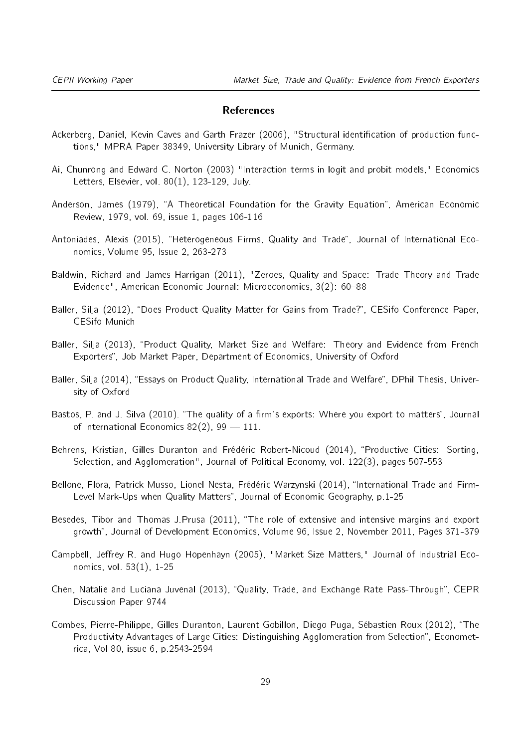#### References

- Ackerberg, Daniel, Kevin Caves and Garth Frazer (2006), "Structural identification of production functions," MPRA Paper 38349, University Library of Munich, Germany.
- Ai, Chunrong and Edward C. Norton (2003) "Interaction terms in logit and probit models," Economics Letters, Elsevier, vol. 80(1), 123-129, July.
- Anderson, James (1979), "A Theoretical Foundation for the Gravity Equation", American Economic Review, 1979, vol. 69, issue 1, pages 106-116
- Antoniades, Alexis (2015), "Heterogeneous Firms, Quality and Trade", Journal of International Economics, Volume 95, Issue 2, 263-273
- Baldwin, Richard and James Harrigan (2011), "Zeroes, Quality and Space: Trade Theory and Trade Evidence", American Economic Journal: Microeconomics, 3(2): 60-88
- Baller, Silja (2012), "Does Product Quality Matter for Gains from Trade?", CESifo Conference Paper, CESifo Munich
- Baller, Silja (2013), "Product Quality, Market Size and Welfare: Theory and Evidence from French Exporters", Job Market Paper, Department of Economics, University of Oxford
- Baller, Silja (2014), "Essays on Product Quality, International Trade and Welfare", DPhil Thesis, University of Oxford
- Bastos, P. and J. Silva (2010). "The quality of a firm's exports: Where you export to matters", Journal of International Economics 82(2), 99  $-$  111.
- Behrens, Kristian, Gilles Duranton and Frédéric Robert-Nicoud (2014), "Productive Cities: Sorting, Selection, and Agglomeration", Journal of Political Economy, vol. 122(3), pages 507-553
- Bellone, Flora, Patrick Musso, Lionel Nesta, Frédéric Warzynski (2014), "International Trade and Firm-Level Mark-Ups when Quality Matters", Journal of Economic Geography, p.1-25
- Besedes, Tibor and Thomas J.Prusa (2011), "The role of extensive and intensive margins and export growth", Journal of Development Economics, Volume 96, Issue 2, November 2011, Pages 371-379
- Campbell, Jeffrey R. and Hugo Hopenhayn (2005), "Market Size Matters," Journal of Industrial Economics, vol. 53(1), 1-25
- Chen, Natalie and Luciana Juvenal (2013), "Quality, Trade, and Exchange Rate Pass-Through", CEPR Discussion Paper 9744
- Combes, Pierre-Philippe, Gilles Duranton, Laurent Gobillon, Diego Puga, Sébastien Roux (2012), The Productivity Advantages of Large Cities: Distinguishing Agglomeration from Selection". Econometrica, Vol 80, issue 6, p.2543-2594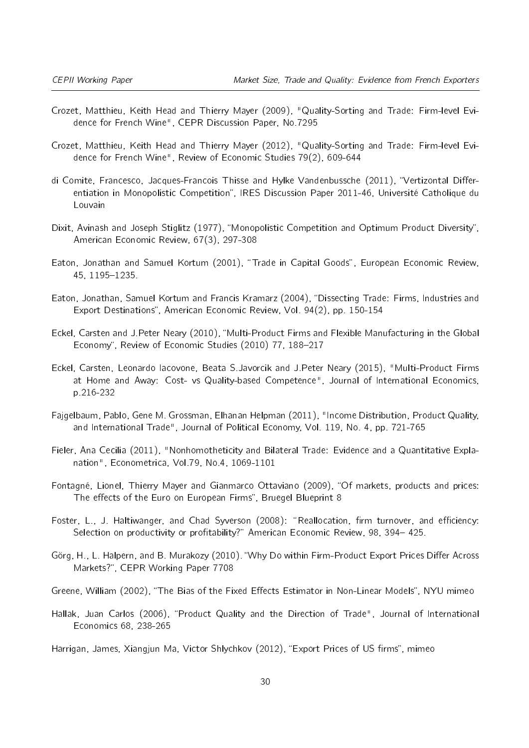- Crozet, Matthieu, Keith Head and Thierry Mayer (2009), "Quality-Sorting and Trade: Firm-level Evidence for French Wine", CEPR Discussion Paper, No.7295
- Crozet, Matthieu, Keith Head and Thierry Mayer (2012), "Quality-Sorting and Trade: Firm-level Evidence for French Wine", Review of Economic Studies 79(2), 609-644
- di Comite, Francesco, Jacques-Francois Thisse and Hylke Vandenbussche (2011), "Vertizontal Differentiation in Monopolistic Competition", IRES Discussion Paper 2011-46, Université Catholique du Louvain
- Dixit, Avinash and Joseph Stiglitz (1977), "Monopolistic Competition and Optimum Product Diversity", American Economic Review, 67(3), 297-308
- Eaton, Jonathan and Samuel Kortum (2001), "Trade in Capital Goods", European Economic Review, 45, 1195-1235.
- Eaton, Jonathan, Samuel Kortum and Francis Kramarz (2004), "Dissecting Trade: Firms, Industries and Export Destinations", American Economic Review, Vol. 94(2), pp. 150-154
- Eckel, Carsten and J.Peter Neary (2010), "Multi-Product Firms and Flexible Manufacturing in the Global Economy", Review of Economic Studies (2010) 77, 188-217
- Eckel, Carsten, Leonardo Iacovone, Beata S.Javorcik and J.Peter Neary (2015), "Multi-Product Firms at Home and Away: Cost- vs Quality-based Competence", Journal of International Economics, p.216-232
- Fajgelbaum, Pablo, Gene M. Grossman, Elhanan Helpman (2011), "Income Distribution, Product Quality, and International Trade", Journal of Political Economy, Vol. 119, No. 4, pp. 721-765
- Fieler, Ana Cecilia (2011), "Nonhomotheticity and Bilateral Trade: Evidence and a Quantitative Explanation", Econometrica, Vol.79, No.4, 1069-1101
- Fontagné, Lionel, Thierry Mayer and Gianmarco Ottaviano (2009), "Of markets, products and prices: The effects of the Euro on European Firms", Bruegel Blueprint 8
- Foster, L., J. Haltiwanger, and Chad Syverson (2008): "Reallocation, firm turnover, and efficiency: Selection on productivity or profitability?" American Economic Review, 98, 394-425.
- Görg, H., L. Halpern, and B. Murakozy (2010). "Why Do within Firm-Product Export Prices Differ Across Markets?", CEPR Working Paper 7708
- Greene, William (2002), "The Bias of the Fixed Effects Estimator in Non-Linear Models", NYU mimeo
- Hallak, Juan Carlos (2006), "Product Quality and the Direction of Trade", Journal of International Economics 68, 238-265
- Harrigan, James, Xiangjun Ma, Victor Shlychkov (2012), "Export Prices of US firms", mimeo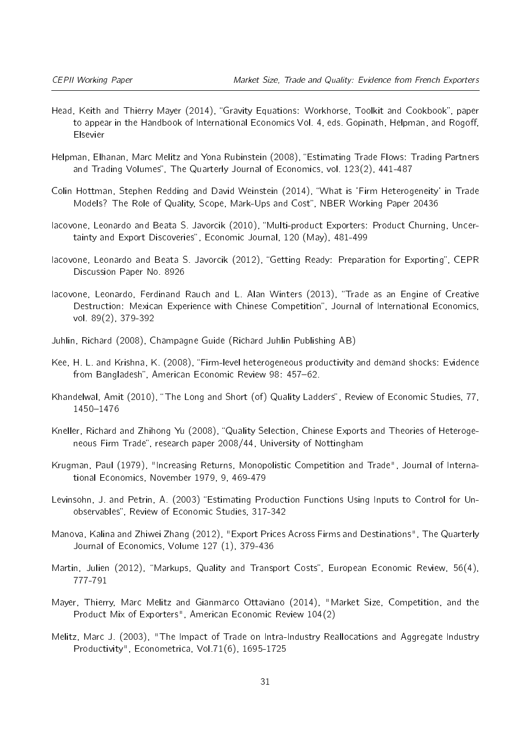- Head, Keith and Thierry Mayer (2014), "Gravity Equations: Workhorse, Toolkit and Cookbook", paper to appear in the Handbook of International Economics Vol. 4, eds. Gopinath, Helpman, and Rogoff, Elsevier
- Helpman, Elhanan, Marc Melitz and Yona Rubinstein (2008), "Estimating Trade Flows: Trading Partners and Trading Volumes", The Quarterly Journal of Economics, vol. 123(2), 441-487
- Colin Hottman, Stephen Redding and David Weinstein (2014), What is 'Firm Heterogeneity' in Trade Models? The Role of Quality, Scope, Mark-Ups and Cost", NBER Working Paper 20436
- Iacovone, Leonardo and Beata S. Javorcik (2010), Multi-product Exporters: Product Churning, Uncertainty and Export Discoveries", Economic Journal, 120 (May), 481-499
- Iacovone, Leonardo and Beata S. Javorcik (2012), "Getting Ready: Preparation for Exporting", CEPR Discussion Paper No. 8926
- Iacovone, Leonardo, Ferdinand Rauch and L. Alan Winters (2013), "Trade as an Engine of Creative Destruction: Mexican Experience with Chinese Competition", Journal of International Economics, vol. 89(2), 379-392
- Juhlin, Richard (2008), Champagne Guide (Richard Juhlin Publishing AB)
- Kee, H. L. and Krishna, K. (2008), "Firm-level heterogeneous productivity and demand shocks: Evidence from Bangladesh", American Economic Review 98: 457-62.
- Khandelwal, Amit (2010), "The Long and Short (of) Quality Ladders", Review of Economic Studies, 77, 1450-1476
- Kneller, Richard and Zhihong Yu (2008), "Quality Selection, Chinese Exports and Theories of Heterogeneous Firm Trade", research paper 2008/44, University of Nottingham
- Krugman, Paul (1979), "Increasing Returns, Monopolistic Competition and Trade", Journal of International Economics, November 1979, 9, 469-479
- Levinsohn, J. and Petrin, A. (2003) "Estimating Production Functions Using Inputs to Control for Unobservables", Review of Economic Studies, 317-342
- Manova, Kalina and Zhiwei Zhang (2012), "Export Prices Across Firms and Destinations", The Quarterly Journal of Economics, Volume 127 (1), 379-436
- Martin, Julien (2012), "Markups, Quality and Transport Costs", European Economic Review, 56(4), 777-791
- Mayer, Thierry, Marc Melitz and Gianmarco Ottaviano (2014), "Market Size, Competition, and the Product Mix of Exporters", American Economic Review 104(2)
- Melitz, Marc J. (2003), "The Impact of Trade on Intra-Industry Reallocations and Aggregate Industry Productivity", Econometrica, Vol.71(6), 1695-1725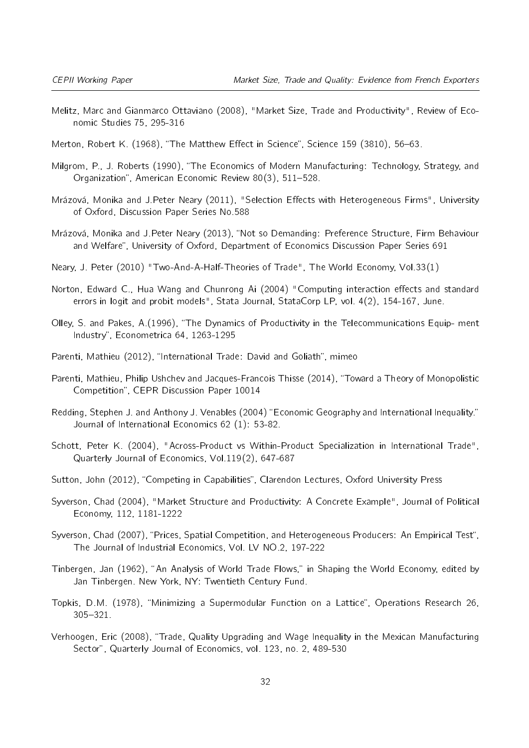- Melitz, Marc and Gianmarco Ottaviano (2008), "Market Size, Trade and Productivity", Review of Economic Studies 75, 295-316
- Merton, Robert K. (1968), "The Matthew Effect in Science". Science 159 (3810), 56-63.
- Milgrom, P., J. Roberts (1990), The Economics of Modern Manufacturing: Technology, Strategy, and Organization", American Economic Review 80(3), 511-528.
- Mrázová, Monika and J.Peter Neary (2011), "Selection Effects with Heterogeneous Firms", University of Oxford, Discussion Paper Series No.588
- Mrázová, Monika and J.Peter Neary (2013), "Not so Demanding: Preference Structure, Firm Behaviour and Welfare", University of Oxford, Department of Economics Discussion Paper Series 691
- Neary, J. Peter (2010) "Two-And-A-Half-Theories of Trade", The World Economy, Vol.33(1)
- Norton, Edward C., Hua Wang and Chunrong Ai (2004) "Computing interaction effects and standard errors in logit and probit models", Stata Journal, StataCorp LP, vol. 4(2), 154-167, June.
- Olley, S. and Pakes, A.(1996), The Dynamics of Productivity in the Telecommunications Equip- ment Industry", Econometrica 64, 1263-1295
- Parenti, Mathieu (2012), "International Trade: David and Goliath", mimeo
- Parenti, Mathieu, Philip Ushchev and Jacques-Francois Thisse (2014), "Toward a Theory of Monopolistic Competition", CEPR Discussion Paper 10014
- Redding, Stephen J. and Anthony J. Venables (2004) "Economic Geography and International Inequality." Journal of International Economics 62 (1): 53-82.
- Schott, Peter K. (2004), "Across-Product vs Within-Product Specialization in International Trade", Quarterly Journal of Economics, Vol.119(2), 647-687
- Sutton, John (2012), "Competing in Capabilities", Clarendon Lectures, Oxford University Press
- Syverson, Chad (2004), "Market Structure and Productivity: A Concrete Example", Journal of Political Economy, 112, 1181-1222
- Syverson, Chad (2007), "Prices, Spatial Competition, and Heterogeneous Producers: An Empirical Test", The Journal of Industrial Economics, Vol. LV NO.2, 197-222
- Tinbergen, Jan (1962), "An Analysis of World Trade Flows," in Shaping the World Economy, edited by Jan Tinbergen. New York, NY: Twentieth Century Fund.
- Topkis, D.M. (1978), "Minimizing a Supermodular Function on a Lattice", Operations Research 26, 305-321.
- Verhoogen, Eric (2008), Trade, Quality Upgrading and Wage Inequality in the Mexican Manufacturing Sector", Quarterly Journal of Economics, vol. 123, no. 2, 489-530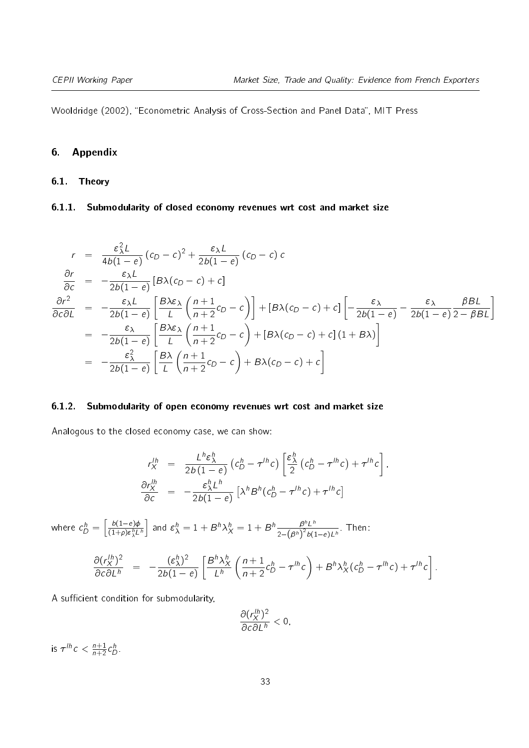Wooldridge (2002), "Econometric Analysis of Cross-Section and Panel Data", MIT Press

#### 6. Appendix

#### 6.1. Theory

**6.1.1.** Submodularity of closed economy revenues wrt cost and market size  
\n
$$
r = \frac{\varepsilon_{\lambda}^{2}L}{4b(1-e)}(c_{D}-c)^{2} + \frac{\varepsilon_{\lambda}L}{2b(1-e)}(c_{D}-c)c
$$
\n
$$
\frac{\partial r}{\partial c} = -\frac{\varepsilon_{\lambda}L}{2b(1-e)}[B\lambda(c_{D}-c)+c]
$$
\n
$$
\frac{\partial r^{2}}{\partial c\partial L} = -\frac{\varepsilon_{\lambda}L}{2b(1-e)}\left[\frac{B\lambda\varepsilon_{\lambda}}{L}\left(\frac{n+1}{n+2}c_{D}-c\right)\right] + [B\lambda(c_{D}-c)+c]\left[-\frac{\varepsilon_{\lambda}}{2b(1-e)} - \frac{\varepsilon_{\lambda}}{2b(1-e)}\frac{\beta BL}{2-\beta BL}\right]
$$
\n
$$
= -\frac{\varepsilon_{\lambda}}{2b(1-e)}\left[\frac{B\lambda\varepsilon_{\lambda}}{L}\left(\frac{n+1}{n+2}c_{D}-c\right) + [B\lambda(c_{D}-c)+c](1+B\lambda)\right]
$$
\n
$$
= -\frac{\varepsilon_{\lambda}^{2}}{2b(1-e)}\left[\frac{B\lambda}{L}\left(\frac{n+1}{n+2}c_{D}-c\right) + B\lambda(c_{D}-c)+c\right]
$$

Analogous to the closed economy case, we can show:

**6.1.2. Submodularity of open economy revenues wrt cost and market size**  
Analogous to the closed economy case, we can show:  

$$
r_X^{lh} = \frac{L^h \varepsilon_\lambda^h}{2b(1-e)} \left( c_D^h - \tau^{lh} c \right) \left[ \frac{\varepsilon_\lambda^h}{2} \left( c_D^h - \tau^{lh} c \right) + \tau^{lh} c \right],
$$

$$
\frac{\partial r_X^{lh}}{\partial c} = -\frac{\varepsilon_\lambda^h L^h}{2b(1-e)} \left[ \lambda^h B^h (c_D^h - \tau^{lh} c) + \tau^{lh} c \right]
$$

where  $c_D^h = \left[\frac{b(1-e)\phi}{(1+\rho)\varepsilon_2^h L}\right]$  $\overline{(1+\rho)\epsilon_{\lambda}^h L^h}$ and  $\varepsilon_{\lambda}^{h} = 1 + B^{h} \lambda_{X}^{h} = 1 + B^{h} \frac{\beta^{h} L^{h}}{2 - (B^{h})^2 h!}$  $rac{B''L''}{2-(\beta^h)^2b(1-e)L^h}$ . Then:

$$
= \left[\frac{b(1-e)\phi}{(1+\rho)\varepsilon_{\lambda}^{h}L^{h}}\right] \text{ and } \varepsilon_{\lambda}^{h} = 1 + B^{h}\lambda_{X}^{h} = 1 + B^{h}\frac{\beta^{h}L^{h}}{2-(\beta^{h})^{2}b(1-e)L^{h}}. \text{ Then:}
$$
  

$$
\frac{\partial (r_{X}^{lh})^{2}}{\partial c\partial L^{h}} = -\frac{(\varepsilon_{\lambda}^{h})^{2}}{2b(1-e)}\left[\frac{B^{h}\lambda_{X}^{h}}{L^{h}}\left(\frac{n+1}{n+2}c_{D}^{h} - \tau^{lh}c\right) + B^{h}\lambda_{X}^{h}(c_{D}^{h} - \tau^{lh}c) + \tau^{lh}c\right].
$$

A sufficient condition for submodularity,

$$
\frac{\partial (r_X^{lh})^2}{\partial c \partial L^h} < 0,
$$

is  $\tau^{lh} c < \frac{n+1}{n+2} c_D^h$ .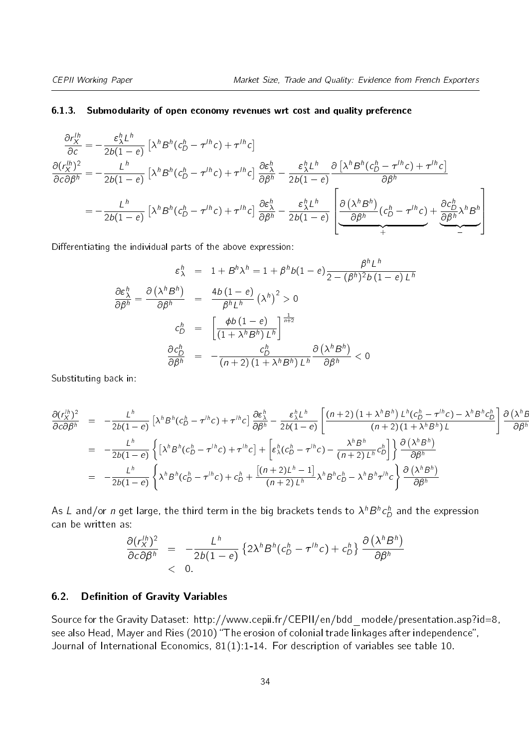#### 6.1.3. Submodularity of open economy revenues wrt cost and quality preference

**6.1.3.** Submodularity of open economy revenues wrt cost and quality preference  
\n
$$
\frac{\partial r_X^{lh}}{\partial c} = -\frac{\varepsilon_\lambda^h L^h}{2b(1 - e)} \left[ \lambda^h B^h (c_D^h - \tau^{lh} c) + \tau^{lh} c \right]
$$
\n
$$
\frac{\partial (r_X^{lh})^2}{\partial c \partial \beta^h} = -\frac{L^h}{2b(1 - e)} \left[ \lambda^h B^h (c_D^h - \tau^{lh} c) + \tau^{lh} c \right] \frac{\partial \varepsilon_\lambda^h}{\partial \beta^h} - \frac{\varepsilon_\lambda^h L^h}{2b(1 - e)} \frac{\partial \left[ \lambda^h B^h (c_D^h - \tau^{lh} c) + \tau^{lh} c \right]}{\partial \beta^h}
$$
\n
$$
= -\frac{L^h}{2b(1 - e)} \left[ \lambda^h B^h (c_D^h - \tau^{lh} c) + \tau^{lh} c \right] \frac{\partial \varepsilon_\lambda^h}{\partial \beta^h} - \frac{\varepsilon_\lambda^h L^h}{2b(1 - e)} \left[ \frac{\partial (\lambda^h B^h)}{\partial \beta^h} (c_D^h - \tau^{lh} c) + \frac{\partial c_D^h}{\partial \beta^h} \lambda^h B^h \right]
$$
\nDifferentiating the individual parts of the above expression:  
\n
$$
\varepsilon_\lambda^h = 1 + B^h \lambda^h = 1 + \beta^h b(1 - e) \frac{\beta^h L^h}{2(1 - e)}.
$$

Differentiating the individual parts of the above expression:

the individual parts of the above expression:  
\n
$$
\varepsilon_{\lambda}^{h} = 1 + B^{h} \lambda^{h} = 1 + \beta^{h} b (1 - e) \frac{\beta^{h} L^{h}}{2 - (\beta^{h})^{2} b (1 - e) L^{h}}
$$
\n
$$
\frac{\partial \varepsilon_{\lambda}^{h}}{\partial \beta^{h}} = \frac{\partial (\lambda^{h} B^{h})}{\partial \beta^{h}} = \frac{4b (1 - e)}{\beta^{h} L^{h}} (\lambda^{h})^{2} > 0
$$
\n
$$
c_{D}^{h} = \left[ \frac{\phi b (1 - e)}{(1 + \lambda^{h} B^{h}) L^{h}} \right]^{\frac{1}{n+2}}
$$
\n
$$
\frac{\partial c_{D}^{h}}{\partial \beta^{h}} = -\frac{c_{D}^{h}}{(n+2) (1 + \lambda^{h} B^{h}) L^{h}} \frac{\partial (\lambda^{h} B^{h})}{\partial \beta^{h}} < 0
$$

Substituting back in:  
\n
$$
\frac{\partial (r_X^{lh})^2}{\partial c \partial \beta^h} = -\frac{L^h}{2b(1-e)} \left[ \lambda^h B^h (c_D^h - \tau^{lh} c) + \tau^{lh} c \right] \frac{\partial \varepsilon_\lambda^h}{\partial \beta^h} - \frac{\varepsilon_\lambda^h L^h}{2b(1-e)} \left[ \frac{(n+2) \left(1 + \lambda^h B^h \right) L^h (c_D^h - \tau^{lh} c) - \lambda^h B^h c_D^h}{(n+2) \left(1 + \lambda^h B^h \right) L} \right] \frac{\partial (\lambda^h B^h)}{\partial \beta^h}
$$
\n
$$
= -\frac{L^h}{2b(1-e)} \left\{ \left[ \lambda^h B^h (c_D^h - \tau^{lh} c) + \tau^{lh} c \right] + \left[ \varepsilon_\lambda^h (c_D^h - \tau^{lh} c) - \frac{\lambda^h B^h}{(n+2) L^h} c_D^h \right] \right\} \frac{\partial (\lambda^h B^h)}{\partial \beta^h}
$$
\n
$$
= -\frac{L^h}{2b(1-e)} \left\{ \lambda^h B^h (c_D^h - \tau^{lh} c) + c_D^h + \frac{[(n+2)L^h - 1]}{(n+2) L^h} \lambda^h B^h c_D^h - \lambda^h B^h \tau^{lh} c \right\} \frac{\partial (\lambda^h B^h)}{\partial \beta^h}
$$

As  $L$  and/or  $n$  get large, the third term in the big brackets tends to  $\lambda^{h}B^{h}c_{D}^{h}$  and the expression can be written as:

$$
\frac{\partial (r_X^{lh})^2}{\partial c \partial \beta^h} = -\frac{L^h}{2b(1-e)} \left\{ 2\lambda^h B^h (c_D^h - \tau^{lh} c) + c_D^h \right\} \frac{\partial (\lambda^h B^h)}{\partial \beta^h} \n< 0.
$$

#### 6.2. Definition of Gravity Variables

Source for the Gravity Dataset: http://www.cepii.fr/CEPII/en/bdd modele/presentation.asp?id=8, see also Head, Mayer and Ries (2010) "The erosion of colonial trade linkages after independence", Journal of International Economics, 81(1):1-14. For description of variables see table [10.](#page-34-0)